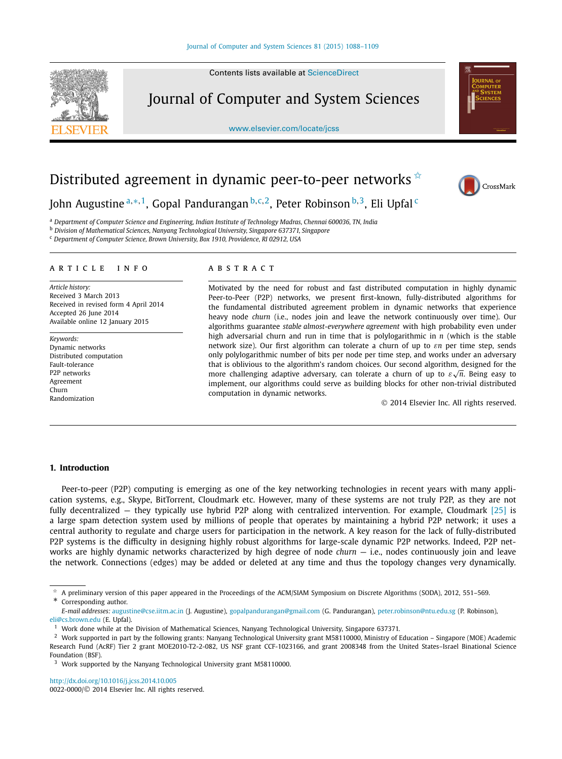Contents lists available at [ScienceDirect](http://www.ScienceDirect.com/)

Journal of Computer and System Sciences

[www.elsevier.com/locate/jcss](http://www.elsevier.com/locate/jcss)



# Distributed agreement in dynamic peer-to-peer networks  $\dot{\mathbf{x}}$



John Augustine <sup>a</sup>*,*∗*,*1, Gopal Pandurangan <sup>b</sup>*,*c*,*2, Peter Robinson <sup>b</sup>*,*3, Eli Upfal <sup>c</sup>

<sup>a</sup> *Department of Computer Science and Engineering, Indian Institute of Technology Madras, Chennai 600036, TN, India*

<sup>b</sup> *Division of Mathematical Sciences, Nanyang Technological University, Singapore 637371, Singapore*

<sup>c</sup> *Department of Computer Science, Brown University, Box 1910, Providence, RI 02912, USA*

#### A R T I C L E I N F O A B S T R A C T

*Article history:* Received 3 March 2013 Received in revised form 4 April 2014 Accepted 26 June 2014 Available online 12 January 2015

*Keywords:* Dynamic networks Distributed computation Fault-tolerance P2P networks Agreement Churn Randomization

Motivated by the need for robust and fast distributed computation in highly dynamic Peer-to-Peer (P2P) networks, we present first-known, fully-distributed algorithms for the fundamental distributed agreement problem in dynamic networks that experience heavy node *churn* (i.e., nodes join and leave the network continuously over time). Our algorithms guarantee *stable almost-everywhere agreement* with high probability even under high adversarial churn and run in time that is polylogarithmic in *n* (which is the stable network size). Our first algorithm can tolerate a churn of up to *εn* per time step, sends only polylogarithmic number of bits per node per time step, and works under an adversary that is oblivious to the algorithm's random choices. Our second algorithm, designed for the more challenging adaptive adversary, can tolerate a churn of up to *ε* <sup>√</sup>*n*. Being easy to implement, our algorithms could serve as building blocks for other non-trivial distributed computation in dynamic networks.

© 2014 Elsevier Inc. All rights reserved.

### **1. Introduction**

Peer-to-peer (P2P) computing is emerging as one of the key networking technologies in recent years with many application systems, e.g., Skype, BitTorrent, Cloudmark etc. However, many of these systems are not truly P2P, as they are not fully decentralized — they typically use hybrid P2P along with centralized intervention. For example, Cloudmark [\[25\]](#page-21-0) is a large spam detection system used by millions of people that operates by maintaining a hybrid P2P network; it uses a central authority to regulate and charge users for participation in the network. A key reason for the lack of fully-distributed P2P systems is the difficulty in designing highly robust algorithms for large-scale dynamic P2P networks. Indeed, P2P networks are highly dynamic networks characterized by high degree of node *churn* — i.e., nodes continuously join and leave the network. Connections (edges) may be added or deleted at any time and thus the topology changes very dynamically.

<http://dx.doi.org/10.1016/j.jcss.2014.10.005> 0022-0000/© 2014 Elsevier Inc. All rights reserved.

<sup>✩</sup> A preliminary version of this paper appeared in the Proceedings of the ACM/SIAM Symposium on Discrete Algorithms (SODA), 2012, 551–569. Corresponding author.

*E-mail addresses:* [augustine@cse.iitm.ac.in](mailto:augustine@cse.iitm.ac.in) (J. Augustine), [gopalpandurangan@gmail.com](mailto:gopalpandurangan@gmail.com) (G. Pandurangan), [peter.robinson@ntu.edu.sg](mailto:peter.robinson@ntu.edu.sg) (P. Robinson), [eli@cs.brown.edu](mailto:eli@cs.brown.edu) (E. Upfal).

<sup>&</sup>lt;sup>1</sup> Work done while at the Division of Mathematical Sciences, Nanyang Technological University, Singapore 637371.

<sup>2</sup> Work supported in part by the following grants: Nanyang Technological University grant M58110000, Ministry of Education – Singapore (MOE) Academic Research Fund (AcRF) Tier 2 grant MOE2010-T2-2-082, US NSF grant CCF-1023166, and grant 2008348 from the United States–Israel Binational Science Foundation (BSF).

<sup>&</sup>lt;sup>3</sup> Work supported by the Nanyang Technological University grant M58110000.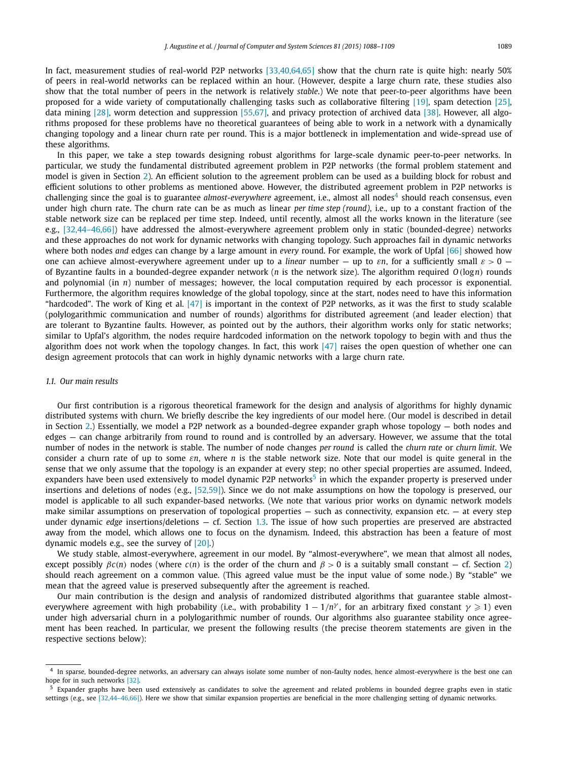In fact, measurement studies of real-world P2P networks [\[33,40,64,65\]](#page-21-0) show that the churn rate is quite high: nearly 50% of peers in real-world networks can be replaced within an hour. (However, despite a large churn rate, these studies also show that the total number of peers in the network is relatively *stable*.) We note that peer-to-peer algorithms have been proposed for a wide variety of computationally challenging tasks such as collaborative filtering [\[19\],](#page-20-0) spam detection [\[25\],](#page-21-0) data mining [\[28\],](#page-21-0) worm detection and suppression [\[55,67\],](#page-21-0) and privacy protection of archived data [\[38\].](#page-21-0) However, all algorithms proposed for these problems have no theoretical guarantees of being able to work in a network with a dynamically changing topology and a linear churn rate per round. This is a major bottleneck in implementation and wide-spread use of these algorithms.

In this paper, we take a step towards designing robust algorithms for large-scale dynamic peer-to-peer networks. In particular, we study the fundamental distributed agreement problem in P2P networks (the formal problem statement and model is given in Section [2\)](#page-4-0). An efficient solution to the agreement problem can be used as a building block for robust and efficient solutions to other problems as mentioned above. However, the distributed agreement problem in P2P networks is challenging since the goal is to guarantee *almost-everywhere* agreement, i.e., almost all nodes<sup>4</sup> should reach consensus, even under high churn rate. The churn rate can be as much as linear *per time step (round)*, i.e., up to a constant fraction of the stable network size can be replaced per time step. Indeed, until recently, almost all the works known in the literature (see e.g., [\[32,44–46,66\]\)](#page-21-0) have addressed the almost-everywhere agreement problem only in static (bounded-degree) networks and these approaches do not work for dynamic networks with changing topology. Such approaches fail in dynamic networks where both nodes *and* edges can change by a large amount in *every* round. For example, the work of Upfal [\[66\]](#page-21-0) showed how one can achieve almost-everywhere agreement under up to a *linear* number — up to *εn*, for a sufficiently small *ε >* 0 of Byzantine faults in a bounded-degree expander network (*n* is the network size). The algorithm required *O(*log*n)* rounds and polynomial (in *n*) number of messages; however, the local computation required by each processor is exponential. Furthermore, the algorithm requires knowledge of the global topology, since at the start, nodes need to have this information "hardcoded". The work of King et al.  $[47]$  is important in the context of P2P networks, as it was the first to study scalable (polylogarithmic communication and number of rounds) algorithms for distributed agreement (and leader election) that are tolerant to Byzantine faults. However, as pointed out by the authors, their algorithm works only for static networks; similar to Upfal's algorithm, the nodes require hardcoded information on the network topology to begin with and thus the algorithm does not work when the topology changes. In fact, this work  $[47]$  raises the open question of whether one can design agreement protocols that can work in highly dynamic networks with a large churn rate.

#### *1.1. Our main results*

Our first contribution is a rigorous theoretical framework for the design and analysis of algorithms for highly dynamic distributed systems with churn. We briefly describe the key ingredients of our model here. (Our model is described in detail in Section [2.](#page-4-0)) Essentially, we model a P2P network as a bounded-degree expander graph whose topology — both nodes and edges — can change arbitrarily from round to round and is controlled by an adversary. However, we assume that the total number of nodes in the network is stable. The number of node changes *per round* is called the *churn rate* or *churn limit*. We consider a churn rate of up to some *εn*, where *n* is the stable network size. Note that our model is quite general in the sense that we only assume that the topology is an expander at every step; no other special properties are assumed. Indeed, expanders have been used extensively to model dynamic P2P networks<sup>5</sup> in which the expander property is preserved under insertions and deletions of nodes (e.g., [\[52,59\]\)](#page-21-0). Since we do not make assumptions on how the topology is preserved, our model is applicable to all such expander-based networks. (We note that various prior works on dynamic network models make similar assumptions on preservation of topological properties — such as connectivity, expansion etc. — at every step under dynamic *edge* insertions/deletions — cf. Section [1.3.](#page-2-0) The issue of how such properties are preserved are abstracted away from the model, which allows one to focus on the dynamism. Indeed, this abstraction has been a feature of most dynamic models e.g., see the survey of [\[20\].](#page-20-0))

We study stable, almost-everywhere, agreement in our model. By "almost-everywhere", we mean that almost all nodes, except possibly  $βc(n)$  nodes (where  $c(n)$  is the order of the churn and  $β > 0$  is a suitably small constant – cf. Section [2\)](#page-4-0) should reach agreement on a common value. (This agreed value must be the input value of some node.) By "stable" we mean that the agreed value is preserved subsequently after the agreement is reached.

Our main contribution is the design and analysis of randomized distributed algorithms that guarantee stable almosteverywhere agreement with high probability (i.e., with probability  $1-1/n^{\gamma}$ , for an arbitrary fixed constant  $\gamma\geqslant 1$ ) even under high adversarial churn in a polylogarithmic number of rounds. Our algorithms also guarantee stability once agreement has been reached. In particular, we present the following results (the precise theorem statements are given in the respective sections below):

<sup>4</sup> In sparse, bounded-degree networks, an adversary can always isolate some number of non-faulty nodes, hence almost-everywhere is the best one can hope for in such networks [\[32\].](#page-21-0)

<sup>&</sup>lt;sup>5</sup> Expander graphs have been used extensively as candidates to solve the agreement and related problems in bounded degree graphs even in static settings (e.g., see [32,44-46,66]). Here we show that similar expansion properties are beneficial in the more challenging setting of dynamic networks.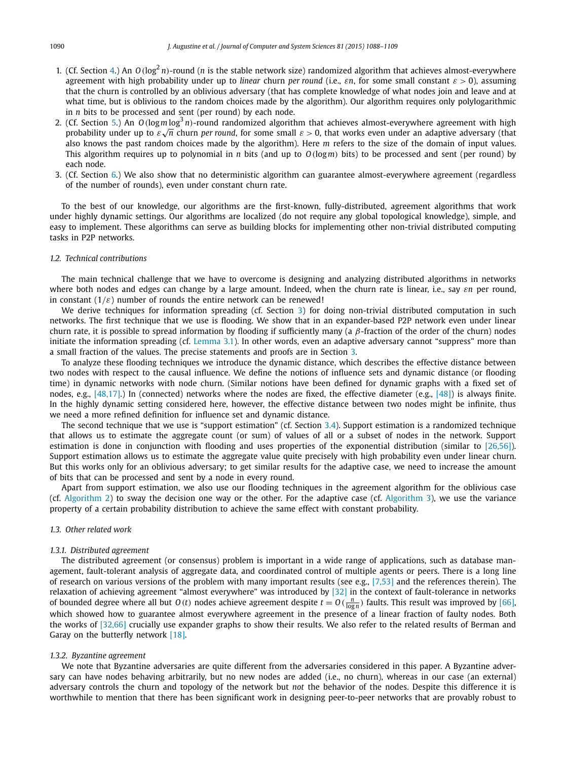- <span id="page-2-0"></span>1. (Cf. Section [4.](#page-12-0)) An  $O(\log^2 n)$ -round (*n* is the stable network size) randomized algorithm that achieves almost-everywhere agreement with high probability under up to *linear* churn *per round* (i.e., *εn*, for some small constant *ε >* 0), assuming that the churn is controlled by an oblivious adversary (that has complete knowledge of what nodes join and leave and at what time, but is oblivious to the random choices made by the algorithm). Our algorithm requires only polylogarithmic in *n* bits to be processed and sent (per round) by each node.
- 2. (Cf. Section [5.](#page-15-0)) An *O(*log*m* log<sup>3</sup> *n)*-round randomized algorithm that achieves almost-everywhere agreement with high (CI. Section 5.) An *O* (log*m* log *n*)-round randomized algorithm that achieves almost-everywhere agreement with high<br>probability under up to ε√π churn *per round*, for some small *ε* > 0, that works even under an adap also knows the past random choices made by the algorithm). Here *m* refers to the size of the domain of input values. This algorithm requires up to polynomial in *n* bits (and up to *O(*log*m)* bits) to be processed and sent (per round) by each node.
- 3. (Cf. Section [6.](#page-19-0)) We also show that no deterministic algorithm can guarantee almost-everywhere agreement (regardless of the number of rounds), even under constant churn rate.

To the best of our knowledge, our algorithms are the first-known, fully-distributed, agreement algorithms that work under highly dynamic settings. Our algorithms are localized (do not require any global topological knowledge), simple, and easy to implement. These algorithms can serve as building blocks for implementing other non-trivial distributed computing tasks in P2P networks.

#### *1.2. Technical contributions*

The main technical challenge that we have to overcome is designing and analyzing distributed algorithms in networks where both nodes and edges can change by a large amount. Indeed, when the churn rate is linear, i.e., say *εn* per round, in constant  $(1/\varepsilon)$  number of rounds the entire network can be renewed!

We derive techniques for information spreading (cf. Section [3\)](#page-6-0) for doing non-trivial distributed computation in such networks. The first technique that we use is flooding. We show that in an expander-based P2P network even under linear churn rate, it is possible to spread information by flooding if sufficiently many (a *β*-fraction of the order of the churn) nodes initiate the information spreading (cf. [Lemma 3.1\)](#page-7-0). In other words, even an adaptive adversary cannot "suppress" more than a small fraction of the values. The precise statements and proofs are in Section [3.](#page-6-0)

To analyze these flooding techniques we introduce the dynamic distance, which describes the effective distance between two nodes with respect to the causal influence. We define the notions of influence sets and dynamic distance (or flooding time) in dynamic networks with node churn. (Similar notions have been defined for dynamic graphs with a fixed set of nodes, e.g., [\[48,17\].](#page-21-0)) In (connected) networks where the nodes are fixed, the effective diameter (e.g., [\[48\]\)](#page-21-0) is always finite. In the highly dynamic setting considered here, however, the effective distance between two nodes might be infinite, thus we need a more refined definition for influence set and dynamic distance.

The second technique that we use is "support estimation" (cf. Section [3.4\)](#page-11-0). Support estimation is a randomized technique that allows us to estimate the aggregate count (or sum) of values of all or a subset of nodes in the network. Support estimation is done in conjunction with flooding and uses properties of the exponential distribution (similar to [\[26,56\]\)](#page-21-0). Support estimation allows us to estimate the aggregate value quite precisely with high probability even under linear churn. But this works only for an oblivious adversary; to get similar results for the adaptive case, we need to increase the amount of bits that can be processed and sent by a node in every round.

Apart from support estimation, we also use our flooding techniques in the agreement algorithm for the oblivious case (cf. [Algorithm 2\)](#page-13-0) to sway the decision one way or the other. For the adaptive case (cf. [Algorithm 3\)](#page-16-0), we use the variance property of a certain probability distribution to achieve the same effect with constant probability.

#### *1.3. Other related work*

#### *1.3.1. Distributed agreement*

The distributed agreement (or consensus) problem is important in a wide range of applications, such as database management, fault-tolerant analysis of aggregate data, and coordinated control of multiple agents or peers. There is a long line of research on various versions of the problem with many important results (see e.g.,  $[7,53]$  and the references therein). The relaxation of achieving agreement "almost everywhere" was introduced by [\[32\]](#page-21-0) in the context of fault-tolerance in networks of bounded degree where all but  $O(t)$  nodes achieve agreement despite  $t = O(\frac{n}{\log n})$  faults. This result was improved by [\[66\],](#page-21-0) which showed how to guarantee almost everywhere agreement in the presence of a linear fraction of faulty nodes. Both the works of [\[32,66\]](#page-21-0) crucially use expander graphs to show their results. We also refer to the related results of Berman and Garay on the butterfly network [\[18\].](#page-20-0)

#### *1.3.2. Byzantine agreement*

We note that Byzantine adversaries are quite different from the adversaries considered in this paper. A Byzantine adversary can have nodes behaving arbitrarily, but no new nodes are added (i.e., no churn), whereas in our case (an external) adversary controls the churn and topology of the network but *not* the behavior of the nodes. Despite this difference it is worthwhile to mention that there has been significant work in designing peer-to-peer networks that are provably robust to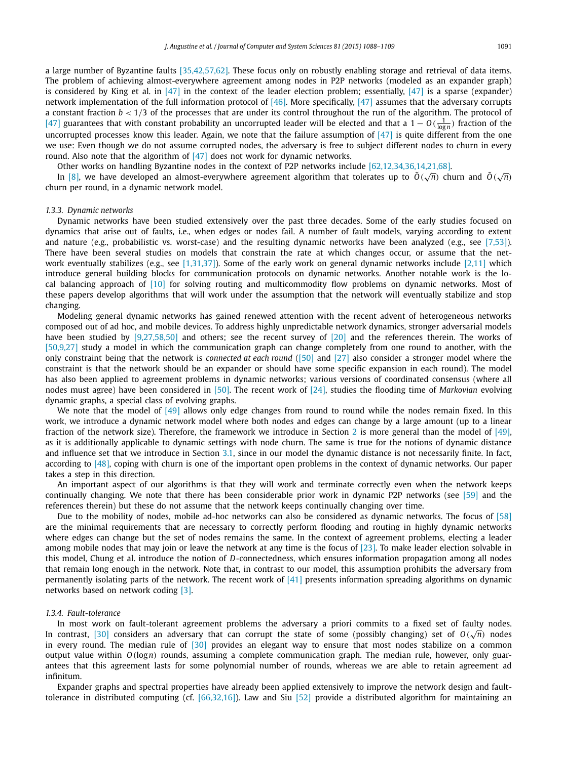a large number of Byzantine faults [\[35,42,57,62\].](#page-21-0) These focus only on robustly enabling storage and retrieval of data items. The problem of achieving almost-everywhere agreement among nodes in P2P networks (modeled as an expander graph) is considered by King et al. in  $[47]$  in the context of the leader election problem; essentially,  $[47]$  is a sparse (expander) network implementation of the full information protocol of [\[46\].](#page-21-0) More specifically, [\[47\]](#page-21-0) assumes that the adversary corrupts a constant fraction *b <* 1*/*3 of the processes that are under its control throughout the run of the algorithm. The protocol of  $[47]$  guarantees that with constant probability an uncorrupted leader will be elected and that a  $1 - O(\frac{1}{\log n})$  fraction of the uncorrupted processes know this leader. Again, we note that the failure assumption of  $[47]$  is quite different from the one we use: Even though we do not assume corrupted nodes, the adversary is free to subject different nodes to churn in every round. Also note that the algorithm of [\[47\]](#page-21-0) does not work for dynamic networks.

Other works on handling Byzantine nodes in the context of P2P networks include [\[62,12,34,36,14,21,68\].](#page-21-0)

Unlet works on nanuing byzantine nodes in the context or P2P networks include  $[02,12,54,56,14,21,08]$ .<br>In [\[8\],](#page-20-0) we have developed an almost-everywhere agreement algorithm that tolerates up to  $\tilde{O}(\sqrt{n})$  churn and  $\tilde{O$ churn per round, in a dynamic network model.

#### *1.3.3. Dynamic networks*

Dynamic networks have been studied extensively over the past three decades. Some of the early studies focused on dynamics that arise out of faults, i.e., when edges or nodes fail. A number of fault models, varying according to extent and nature (e.g., probabilistic vs. worst-case) and the resulting dynamic networks have been analyzed (e.g., see [\[7,53\]\)](#page-20-0). There have been several studies on models that constrain the rate at which changes occur, or assume that the net-work eventually stabilizes (e.g., see [\[1,31,37\]\)](#page-20-0). Some of the early work on general dynamic networks include [\[2,11\]](#page-20-0) which introduce general building blocks for communication protocols on dynamic networks. Another notable work is the local balancing approach of [\[10\]](#page-20-0) for solving routing and multicommodity flow problems on dynamic networks. Most of these papers develop algorithms that will work under the assumption that the network will eventually stabilize and stop changing.

Modeling general dynamic networks has gained renewed attention with the recent advent of heterogeneous networks composed out of ad hoc, and mobile devices. To address highly unpredictable network dynamics, stronger adversarial models have been studied by [\[9,27,58,50\]](#page-20-0) and others; see the recent survey of [\[20\]](#page-20-0) and the references therein. The works of [\[50,9,27\]](#page-21-0) study a model in which the communication graph can change completely from one round to another, with the only constraint being that the network is *connected at each round* [\(\[50\]](#page-21-0) and [\[27\]](#page-21-0) also consider a stronger model where the constraint is that the network should be an expander or should have some specific expansion in each round). The model has also been applied to agreement problems in dynamic networks; various versions of coordinated consensus (where all nodes must agree) have been considered in [\[50\].](#page-21-0) The recent work of [\[24\],](#page-21-0) studies the flooding time of *Markovian* evolving dynamic graphs, a special class of evolving graphs.

We note that the model of [\[49\]](#page-21-0) allows only edge changes from round to round while the nodes remain fixed. In this work, we introduce a dynamic network model where both nodes and edges can change by a large amount (up to a linear fraction of the network size). Therefore, the framework we introduce in Section [2](#page-4-0) is more general than the model of [\[49\],](#page-21-0) as it is additionally applicable to dynamic settings with node churn. The same is true for the notions of dynamic distance and influence set that we introduce in Section [3.1,](#page-6-0) since in our model the dynamic distance is not necessarily finite. In fact, according to [\[48\],](#page-21-0) coping with churn is one of the important open problems in the context of dynamic networks. Our paper takes a step in this direction.

An important aspect of our algorithms is that they will work and terminate correctly even when the network keeps continually changing. We note that there has been considerable prior work in dynamic P2P networks (see [\[59\]](#page-21-0) and the references therein) but these do not assume that the network keeps continually changing over time.

Due to the mobility of nodes, mobile ad-hoc networks can also be considered as dynamic networks. The focus of [\[58\]](#page-21-0) are the minimal requirements that are necessary to correctly perform flooding and routing in highly dynamic networks where edges can change but the set of nodes remains the same. In the context of agreement problems, electing a leader among mobile nodes that may join or leave the network at any time is the focus of  $[23]$ . To make leader election solvable in this model, Chung et al. introduce the notion of *D*-connectedness, which ensures information propagation among all nodes that remain long enough in the network. Note that, in contrast to our model, this assumption prohibits the adversary from permanently isolating parts of the network. The recent work of [\[41\]](#page-21-0) presents information spreading algorithms on dynamic networks based on network coding [\[3\].](#page-20-0)

#### *1.3.4. Fault-tolerance*

In most work on fault-tolerant agreement problems the adversary a priori commits to a fixed set of faulty nodes. In contrast, [\[30\]](#page-21-0) considers an adversary that can corrupt the state of some (possibly changing) set of *O(* <sup>√</sup>*n)* nodes in every round. The median rule of [\[30\]](#page-21-0) provides an elegant way to ensure that most nodes stabilize on a common output value within *O(*log*n)* rounds, assuming a complete communication graph. The median rule, however, only guarantees that this agreement lasts for some polynomial number of rounds, whereas we are able to retain agreement ad infinitum.

Expander graphs and spectral properties have already been applied extensively to improve the network design and fault-tolerance in distributed computing (cf. [\[66,32,16\]\)](#page-21-0). Law and Siu [\[52\]](#page-21-0) provide a distributed algorithm for maintaining an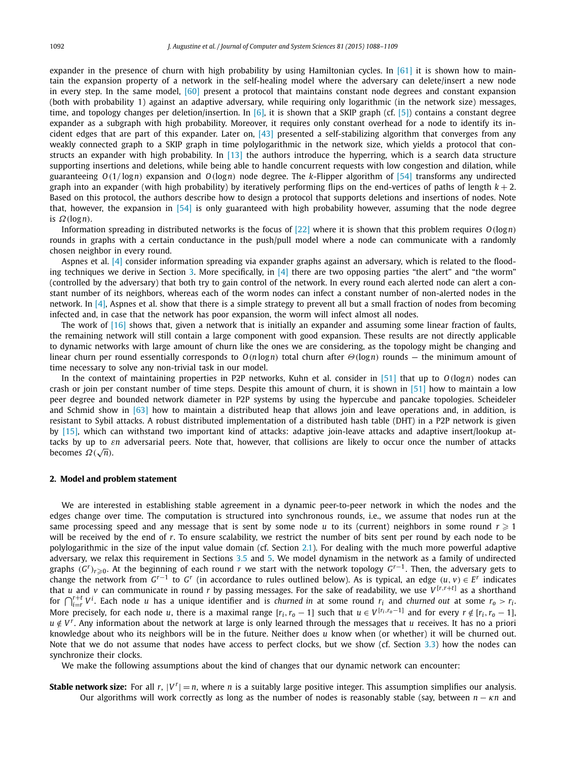<span id="page-4-0"></span>expander in the presence of churn with high probability by using Hamiltonian cycles. In  $[61]$  it is shown how to maintain the expansion property of a network in the self-healing model where the adversary can delete/insert a new node in every step. In the same model, [\[60\]](#page-21-0) present a protocol that maintains constant node degrees and constant expansion (both with probability 1) against an adaptive adversary, while requiring only logarithmic (in the network size) messages, time, and topology changes per deletion/insertion. In [\[6\],](#page-20-0) it is shown that a SKIP graph (cf. [\[5\]\)](#page-20-0) contains a constant degree expander as a subgraph with high probability. Moreover, it requires only constant overhead for a node to identify its incident edges that are part of this expander. Later on,  $[43]$  presented a self-stabilizing algorithm that converges from any weakly connected graph to a SKIP graph in time polylogarithmic in the network size, which yields a protocol that constructs an expander with high probability. In [\[13\]](#page-20-0) the authors introduce the hyperring, which is a search data structure supporting insertions and deletions, while being able to handle concurrent requests with low congestion and dilation, while guaranteeing *O(*1*/* log*n)* expansion and *O(*log*n)* node degree. The *k*-Flipper algorithm of [\[54\]](#page-21-0) transforms any undirected graph into an expander (with high probability) by iteratively performing flips on the end-vertices of paths of length  $k + 2$ . Based on this protocol, the authors describe how to design a protocol that supports deletions and insertions of nodes. Note that, however, the expansion in  $[54]$  is only guaranteed with high probability however, assuming that the node degree is *Ω(*log*n)*.

Information spreading in distributed networks is the focus of [\[22\]](#page-20-0) where it is shown that this problem requires *O(*log*n)* rounds in graphs with a certain conductance in the push/pull model where a node can communicate with a randomly chosen neighbor in every round.

Aspnes et al. [\[4\]](#page-20-0) consider information spreading via expander graphs against an adversary, which is related to the flood-ing techniques we derive in Section [3.](#page-6-0) More specifically, in  $[4]$  there are two opposing parties "the alert" and "the worm" (controlled by the adversary) that both try to gain control of the network. In every round each alerted node can alert a constant number of its neighbors, whereas each of the worm nodes can infect a constant number of non-alerted nodes in the network. In [\[4\],](#page-20-0) Aspnes et al. show that there is a simple strategy to prevent all but a small fraction of nodes from becoming infected and, in case that the network has poor expansion, the worm will infect almost all nodes.

The work of [\[16\]](#page-20-0) shows that, given a network that is initially an expander and assuming some linear fraction of faults, the remaining network will still contain a large component with good expansion. These results are not directly applicable to dynamic networks with large amount of churn like the ones we are considering, as the topology might be changing and linear churn per round essentially corresponds to *O(n* log*n)* total churn after *Θ(*log*n)* rounds — the minimum amount of time necessary to solve any non-trivial task in our model.

In the context of maintaining properties in P2P networks, Kuhn et al. consider in [\[51\]](#page-21-0) that up to *O(*log*n)* nodes can crash or join per constant number of time steps. Despite this amount of churn, it is shown in [\[51\]](#page-21-0) how to maintain a low peer degree and bounded network diameter in P2P systems by using the hypercube and pancake topologies. Scheideler and Schmid show in  $[63]$  how to maintain a distributed heap that allows join and leave operations and, in addition, is resistant to Sybil attacks. A robust distributed implementation of a distributed hash table (DHT) in a P2P network is given by [\[15\],](#page-20-0) which can withstand two important kind of attacks: adaptive join-leave attacks and adaptive insert/lookup attacks by up to *εn* adversarial peers. Note that, however, that collisions are likely to occur once the number of attacks becomes *Ω(*√*n)*.

#### **2. Model and problem statement**

We are interested in establishing stable agreement in a dynamic peer-to-peer network in which the nodes and the edges change over time. The computation is structured into synchronous rounds, i.e., we assume that nodes run at the same processing speed and any message that is sent by some node  $u$  to its (current) neighbors in some round  $r \geqslant 1$ will be received by the end of *r*. To ensure scalability, we restrict the number of bits sent per round by each node to be polylogarithmic in the size of the input value domain (cf. Section [2.1\)](#page-5-0). For dealing with the much more powerful adaptive adversary, we relax this requirement in Sections [3.5](#page-12-0) and [5.](#page-15-0) We model dynamism in the network as a family of undirected graphs *(G<sup>r</sup>)<sup>r</sup>*-0. At the beginning of each round *<sup>r</sup>* we start with the network topology *<sup>G</sup>r*<sup>−</sup>1. Then, the adversary gets to change the network from  $G^{r-1}$  to  $G^r$  (in accordance to rules outlined below). As is typical, an edge  $(u, v) \in E^r$  indicates that *u* and *v* can communicate in round *r* by passing messages. For the sake of readability, we use  $V^{[r,r+t]}$  as a shorthand for  $\bigcap_{i=r}^{r+t}V^i$ . Each node u has a unique identifier and is *churned in* at some round  $r_i$  and *churned out* at some  $r_0 > r_i$ . More precisely, for each node u, there is a maximal range  $[r_i, r_0 - 1]$  such that  $u \in V^{[r_i, r_0 - 1]}$  and for every  $r \notin [r_i, r_0 - 1]$ ,  $u \notin V^r$ . Any information about the network at large is only learned through the messages that *u* receives. It has no a priori knowledge about who its neighbors will be in the future. Neither does *u* know when (or whether) it will be churned out. Note that we do not assume that nodes have access to perfect clocks, but we show (cf. Section [3.3\)](#page-10-0) how the nodes can synchronize their clocks.

We make the following assumptions about the kind of changes that our dynamic network can encounter:

**Stable network size:** For all  $r$ ,  $|V^r| = n$ , where *n* is a suitably large positive integer. This assumption simplifies our analysis. Our algorithms will work correctly as long as the number of nodes is reasonably stable (say, between *n* − *κn* and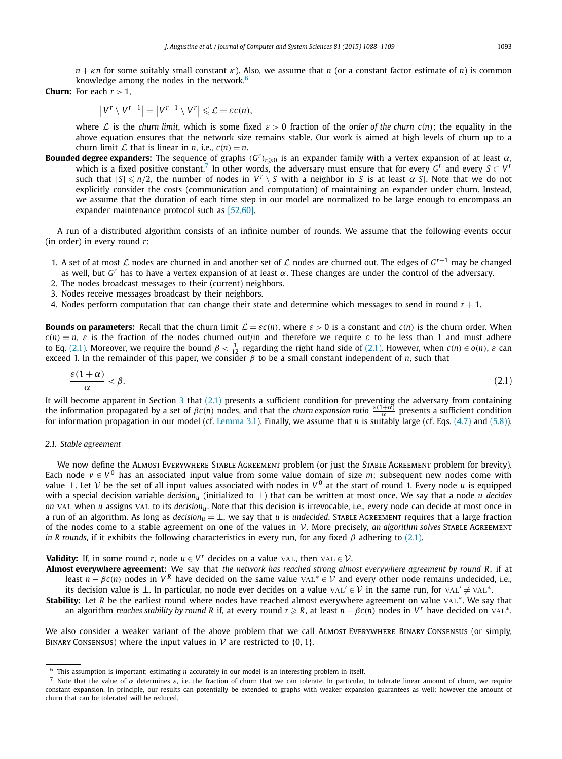<span id="page-5-0"></span>*n* + *κn* for some suitably small constant *κ*). Also, we assume that *n* (or a constant factor estimate of *n*) is common knowledge among the nodes in the network. $6$ 

**Churn:** For each  $r > 1$ ,

$$
|V^r \setminus V^{r-1}| = |V^{r-1} \setminus V^r| \leq \mathcal{L} = \varepsilon c(n),
$$

where L is the *churn* limit, which is some fixed  $\varepsilon > 0$  fraction of the *order* of the *churn*  $c(n)$ ; the equality in the above equation ensures that the network size remains stable. Our work is aimed at high levels of churn up to a churn limit  $\mathcal L$  that is linear in *n*, i.e.,  $c(n) = n$ .

**Bounded degree expanders:** The sequence of graphs *(G<sup>r</sup>)<sup>r</sup>*-<sup>0</sup> is an expander family with a vertex expansion of at least *α*, which is a fixed positive constant.<sup>7</sup> In other words, the adversary must ensure that for every  $G<sup>r</sup>$  and every  $S \subset V<sup>r</sup>$ such that  $|S| \le n/2$ , the number of nodes in  $V^r \setminus S$  with a neighbor in *S* is at least  $\alpha |S|$ . Note that we do not explicitly consider the costs (communication and computation) of maintaining an expander under churn. Instead, we assume that the duration of each time step in our model are normalized to be large enough to encompass an expander maintenance protocol such as [\[52,60\].](#page-21-0)

A run of a distributed algorithm consists of an infinite number of rounds. We assume that the following events occur (in order) in every round *r*:

- 1. A set of at most <sup>L</sup> nodes are churned in and another set of <sup>L</sup> nodes are churned out. The edges of *<sup>G</sup>r*−<sup>1</sup> may be changed as well, but *G<sup>r</sup>* has to have a vertex expansion of at least *α*. These changes are under the control of the adversary.
- 2. The nodes broadcast messages to their (current) neighbors.
- 3. Nodes receive messages broadcast by their neighbors.
- 4. Nodes perform computation that can change their state and determine which messages to send in round *r* + 1.

**Bounds on parameters:** Recall that the churn limit  $\mathcal{L} = \varepsilon c(n)$ , where  $\varepsilon > 0$  is a constant and  $c(n)$  is the churn order. When  $c(n) = n$ , *ε* is the fraction of the nodes churned out/in and therefore we require *ε* to be less than 1 and must adhere to Eq. (2.1). Moreover, we require the bound *β* <  $\frac{1}{12}$  regarding the right hand side of (2.1). However, when *c*(*n*) ∈ *o*(*n*), *ε* can exceed 1. In the remainder of this paper, we consider *β* to be a small constant independent of *n*, such that

$$
\frac{\varepsilon(1+\alpha)}{\alpha} < \beta. \tag{2.1}
$$

It will become apparent in Section  $3$  that  $(2.1)$  presents a sufficient condition for preventing the adversary from containing the information propagated by a set of  $\beta c(n)$  nodes, and that the *churn expansion ratio*  $\frac{\varepsilon(1+\alpha)}{\alpha}$  presents a sufficient condition for information propagation in our model (cf. [Lemma 3.1\)](#page-7-0). Finally, we assume that *n* is suitably large (cf. Eqs. [\(4.7\)](#page-12-0) and [\(5.8\)\)](#page-15-0).

#### *2.1. Stable agreement*

We now define the ALMOST EVERYWHERE STABLE AGREEMENT problem (or just the STABLE AGREEMENT problem for brevity). Each node  $v \in V^0$  has an associated input value from some value domain of size *m*; subsequent new nodes come with value <sup>⊥</sup>. Let <sup>V</sup> be the set of all input values associated with nodes in *<sup>V</sup>* <sup>0</sup> at the start of round 1. Every node *<sup>u</sup>* is equipped with a special decision variable *decisionu* (initialized to ⊥) that can be written at most once. We say that a node *u decides on* val when *u* assigns val to its *decisionu*. Note that this decision is irrevocable, i.e., every node can decide at most once in a run of an algorithm. As long as *decisionu* = ⊥, we say that *u* is *undecided*. Stable Agreement requires that a large fraction of the nodes come to <sup>a</sup> stable agreement on one of the values in <sup>V</sup>. More precisely, *an algorithm solves* Stable Agreement *in R rounds*, if it exhibits the following characteristics in every run, for any fixed *β* adhering to (2.1).

**Validity:** If, in some round *r*, node  $u \in V^r$  decides on a value VAL, then VAL  $\in V$ .

**Almost everywhere agreement:** We say that *the network has reached strong almost everywhere agreement by round R*, if at least  $n - \beta c(n)$  nodes in  $V^R$  have decided on the same value vAL<sup>\*</sup> ∈ V and every other node remains undecided, i.e., its decision value is ⊥. In particular, no node ever decides on a value  $VAL' \in V$  in the same run, for  $VAL' \neq VAL^*$ .

**Stability:** Let *R* be the earliest round where nodes have reached almost everywhere agreement on value vAL<sup>∗</sup>. We say that an algorithm *reaches stability by round R* if, at every round  $r \ge R$ , at least  $n - \beta c(n)$  nodes in  $V^r$  have decided on  $\text{VAL}^*$ .

We also consider a weaker variant of the above problem that we call ALMOST EVERYWHERE BINARY CONSENSUS (or simply, BINARY CONSENSUS) where the input values in  $V$  are restricted to  $\{0, 1\}$ .

<sup>6</sup> This assumption is important; estimating *n* accurately in our model is an interesting problem in itself.

<sup>&</sup>lt;sup>7</sup> Note that the value of  $\alpha$  determines  $\varepsilon$ , i.e. the fraction of churn that we can tolerate. In particular, to tolerate linear amount of churn, we require constant expansion. In principle, our results can potentially be extended to graphs with weaker expansion guarantees as well; however the amount of churn that can be tolerated will be reduced.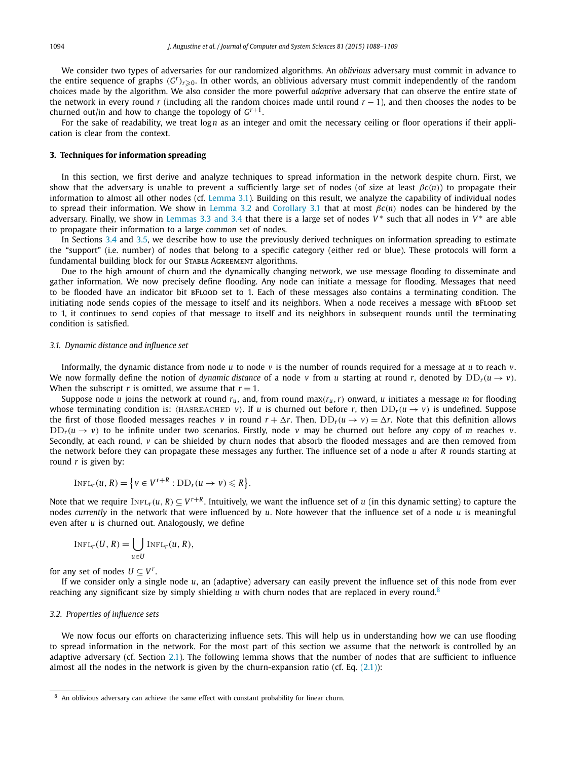<span id="page-6-0"></span>We consider two types of adversaries for our randomized algorithms. An *oblivious* adversary must commit in advance to the entire sequence of graphs *(G<sup>r</sup>)<sup>r</sup>*-0. In other words, an oblivious adversary must commit independently of the random choices made by the algorithm. We also consider the more powerful *adaptive* adversary that can observe the entire state of the network in every round *r* (including all the random choices made until round *r* − 1), and then chooses the nodes to be churned out/in and how to change the topology of  $G^{r+1}$ .

For the sake of readability, we treat log*n* as an integer and omit the necessary ceiling or floor operations if their application is clear from the context.

### **3. Techniques for information spreading**

In this section, we first derive and analyze techniques to spread information in the network despite churn. First, we show that the adversary is unable to prevent a sufficiently large set of nodes (of size at least  $\beta c(n)$ ) to propagate their information to almost all other nodes (cf. [Lemma 3.1\)](#page-7-0). Building on this result, we analyze the capability of individual nodes to spread their information. We show in [Lemma 3.2](#page-8-0) and [Corollary 3.1](#page-9-0) that at most *βc(n)* nodes can be hindered by the adversary. Finally, we show in [Lemmas 3.3 and](#page-9-0) 3.4 that there is a large set of nodes *V*<sup>\*</sup> such that all nodes in *V*<sup>\*</sup> are able to propagate their information to a large *common* set of nodes.

In Sections [3.4](#page-11-0) and [3.5,](#page-12-0) we describe how to use the previously derived techniques on information spreading to estimate the "support" (i.e. number) of nodes that belong to a specific category (either red or blue). These protocols will form a fundamental building block for our STABLE AGREEMENT algorithms.

Due to the high amount of churn and the dynamically changing network, we use message flooding to disseminate and gather information. We now precisely define flooding. Any node can initiate a message for flooding. Messages that need to be flooded have an indicator bit BFLOOD set to 1. Each of these messages also contains a terminating condition. The initiating node sends copies of the message to itself and its neighbors. When a node receives a message with BFLOOD set to 1, it continues to send copies of that message to itself and its neighbors in subsequent rounds until the terminating condition is satisfied.

#### *3.1. Dynamic distance and influence set*

Informally, the dynamic distance from node *u* to node *v* is the number of rounds required for a message at *u* to reach *v*. We now formally define the notion of *dynamic distance* of a node *v* from *u* starting at round *r*, denoted by  $DD_r(u \rightarrow v)$ . When the subscript *r* is omitted, we assume that  $r = 1$ .

Suppose node *u* joins the network at round  $r_u$ , and, from round max $(r_u, r)$  onward, *u* initiates a message *m* for flooding whose terminating condition is:  $\langle$ HASREACHED  $v$  $\rangle$ . If *u* is churned out before *r*, then  $DD_r(u \to v)$  is undefined. Suppose the first of those flooded messages reaches *v* in round  $r + \Delta r$ . Then,  $DD_r(u \to v) = \Delta r$ . Note that this definition allows  $DD_r(u \rightarrow v)$  to be infinite under two scenarios. Firstly, node *v* may be churned out before any copy of *m* reaches *v*. Secondly, at each round, *v* can be shielded by churn nodes that absorb the flooded messages and are then removed from the network before they can propagate these messages any further. The influence set of a node *u* after *R* rounds starting at round *r* is given by:

$$
I\text{NFL}_r(u, R) = \{v \in V^{r+R} : \text{DD}_r(u \to v) \leq R\}.
$$

Note that we require  $InFL_r(u, R) \subseteq V^{r+R}$ . Intuitively, we want the influence set of *u* (in this dynamic setting) to capture the nodes *currently* in the network that were influenced by *u*. Note however that the influence set of a node *u* is meaningful even after *u* is churned out. Analogously, we define

$$
I\text{NFL}_{r}(U,R)=\bigcup_{u\in U}I\text{NFL}_{r}(u,R),
$$

for any set of nodes  $U \subset V^r$ .

If we consider only a single node *u*, an (adaptive) adversary can easily prevent the influence set of this node from ever reaching any significant size by simply shielding *u* with churn nodes that are replaced in every round.<sup>8</sup>

#### *3.2. Properties of influence sets*

We now focus our efforts on characterizing influence sets. This will help us in understanding how we can use flooding to spread information in the network. For the most part of this section we assume that the network is controlled by an adaptive adversary (cf. Section [2.1\)](#page-5-0). The following lemma shows that the number of nodes that are sufficient to influence almost all the nodes in the network is given by the churn-expansion ratio (cf. Eq.  $(2.1)$ ):

<sup>8</sup> An oblivious adversary can achieve the same effect with constant probability for linear churn.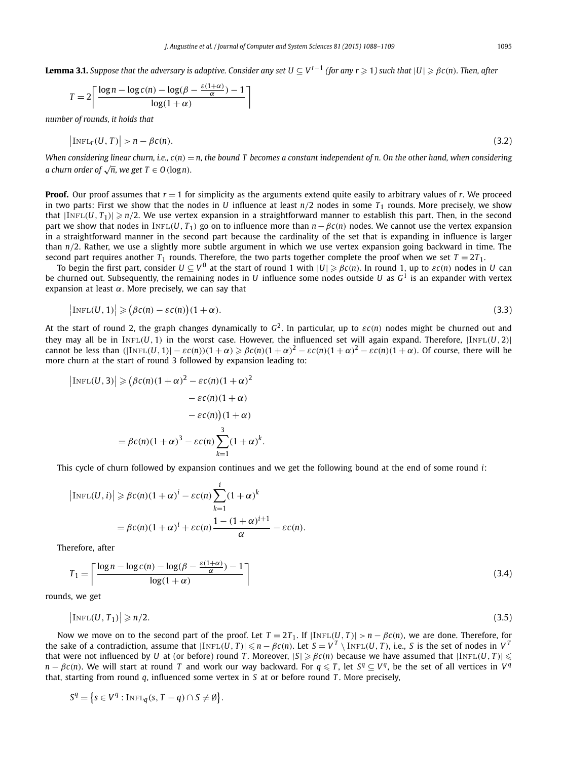<span id="page-7-0"></span>**Lemma 3.1.** Suppose that the adversary is adaptive. Consider any set U  $\subseteq$  V<sup>r–1</sup> (for any r  $\geqslant$  1) such that  $|U|\geqslant\beta$ c(n). Then, after

$$
T = 2 \left\lceil \frac{\log n - \log c(n) - \log(\beta - \frac{\varepsilon(1+\alpha)}{\alpha}) - 1}{\log(1+\alpha)} \right\rceil
$$

*number of rounds, it holds that*

$$
\left|\text{INFL}_{r}(U, T)\right| > n - \beta c(n). \tag{3.2}
$$

When considering linear churn, i.e.,  $c(n) = n$ , the bound T becomes a constant independent of n. On the other hand, when considering *a churn order of*  $\sqrt{n}$ *, we get*  $T \in O(\log n)$ *.* 

**Proof.** Our proof assumes that *r* = 1 for simplicity as the arguments extend quite easily to arbitrary values of *r*. We proceed in two parts: First we show that the nodes in *U* influence at least  $n/2$  nodes in some  $T_1$  rounds. More precisely, we show that  $|InFL(U, T_1)| \geq n/2$ . We use vertex expansion in a straightforward manner to establish this part. Then, in the second part we show that nodes in INFL(*U*,  $T_1$ ) go on to influence more than  $n - \beta c(n)$  nodes. We cannot use the vertex expansion in a straightforward manner in the second part because the cardinality of the set that is expanding in influence is larger than *n/*2. Rather, we use a slightly more subtle argument in which we use vertex expansion going backward in time. The second part requires another  $T_1$  rounds. Therefore, the two parts together complete the proof when we set  $T = 2T_1$ .

To begin the first part, consider  $U\subseteq V^0$  at the start of round 1 with  $|U|\geqslant\beta c(n).$  In round 1, up to  $\varepsilon c(n)$  nodes in  $U$  can be churned out. Subsequently, the remaining nodes in *U* influence some nodes outside *U* as *G*<sup>1</sup> is an expander with vertex expansion at least *α*. More precisely, we can say that

$$
\left|\text{INFL}(U,1)\right| \geqslant \left(\beta c(n) - \varepsilon c(n)\right)(1+\alpha). \tag{3.3}
$$

At the start of round 2, the graph changes dynamically to  $G^2$ . In particular, up to  $\epsilon c(n)$  nodes might be churned out and they may all be in  $INFL(U, 1)$  in the worst case. However, the influenced set will again expand. Therefore,  $|INFL(U, 2)|$ cannot be less than  $(|I_{\text{NFL}}(U,1)|-\varepsilon c(n))(1+\alpha) \geqslant \beta c(n)(1+\alpha)^2-\varepsilon c(n)(1+\alpha)^2-\varepsilon c(n)(1+\alpha)$ . Of course, there will be more churn at the start of round 3 followed by expansion leading to:

$$
\left|\text{INFL}(U,3)\right| \geq \left(\beta c(n)(1+\alpha)^2 - \varepsilon c(n)(1+\alpha)^2 - \varepsilon c(n)(1+\alpha) - \varepsilon c(n)(1+\alpha) - \varepsilon c(n)(1+\alpha) \right)
$$

$$
= \beta c(n)(1+\alpha)^3 - \varepsilon c(n)\sum_{k=1}^3 (1+\alpha)^k.
$$

This cycle of churn followed by expansion continues and we get the following bound at the end of some round *i*:

$$
\left|\text{INFL}(U,i)\right| \ge \beta c(n)(1+\alpha)^{i} - \varepsilon c(n)\sum_{k=1}^{i} (1+\alpha)^{k}
$$

$$
= \beta c(n)(1+\alpha)^{i} + \varepsilon c(n)\frac{1 - (1+\alpha)^{i+1}}{\alpha} - \varepsilon c(n).
$$

Therefore, after

$$
T_1 = \left\lceil \frac{\log n - \log c(n) - \log(\beta - \frac{\varepsilon(1+\alpha)}{\alpha}) - 1}{\log(1+\alpha)} \right\rceil
$$
\n(3.4)

rounds, we get

$$
\left|\text{INFL}(U, T_1)\right| \geqslant n/2. \tag{3.5}
$$

Now we move on to the second part of the proof. Let  $T = 2T_1$ . If  $|\text{InFL}(U, T)| > n - \beta c(n)$ , we are done. Therefore, for the sake of a contradiction, assume that  $|\text{INFL}(U, T)| \le n - \beta c(n)$ . Let  $S = V^T \setminus \text{INFL}(U, T)$ , i.e., S is the set of nodes in V<sup>T</sup> that were not influenced by *U* at (or before) round *T*. Moreover,  $|S| \ge \beta c(n)$  because we have assumed that  $|\text{InFL}(U, T)| \le$  $n - \beta c(n)$ . We will start at round T and work our way backward. For  $q \le T$ , let  $S^q \subset V^q$ , be the set of all vertices in  $V^q$ that, starting from round *q*, influenced some vertex in *S* at or before round *T* . More precisely,

$$
S^{q} = \{s \in V^{q} : \text{INFL}_{q}(s, T - q) \cap S \neq \emptyset\}.
$$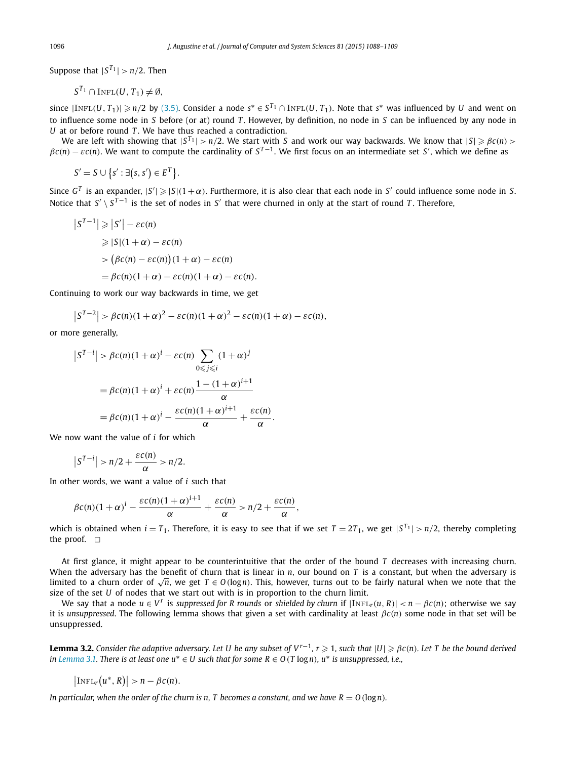<span id="page-8-0"></span>Suppose that  $|S^{T_1}| > n/2$ . Then

$$
S^{T_1} \cap
$$
INFL $(U, T_1) \neq \emptyset$ ,

since  $|\text{INFL}(U, T_1)| \geqslant n/2$  by [\(3.5\).](#page-7-0) Consider a node  $s^* \in S^{T_1} \cap \text{INFL}(U, T_1)$ . Note that  $s^*$  was influenced by U and went on to influence some node in *S* before (or at) round *T* . However, by definition, no node in *S* can be influenced by any node in *U* at or before round *T* . We have thus reached a contradiction.

We are left with showing that  $|S^T| > n/2$ . We start with *S* and work our way backwards. We know that  $|S| \ge \beta c(n) >$  $\beta c(n) - \varepsilon c(n)$ . We want to compute the cardinality of  $S^{T-1}$ . We first focus on an intermediate set *S*', which we define as

$$
S' = S \cup \{s' : \exists (s, s') \in E^T\}.
$$

Since  $G^T$  is an expander,  $|S'|\geqslant |S|(1+\alpha)$ . Furthermore, it is also clear that each node in *S'* could influence some node in *S*. Notice that *S' \ S*<sup>*T*−1 is the set of nodes in *S'* that were churned in only at the start of round *T*. Therefore,</sup>

$$
|S^{T-1}| \ge |S'| - \varepsilon c(n)
$$
  
\n
$$
\ge |S|(1+\alpha) - \varepsilon c(n)
$$
  
\n
$$
> (\beta c(n) - \varepsilon c(n))(1+\alpha) - \varepsilon c(n)
$$
  
\n
$$
= \beta c(n)(1+\alpha) - \varepsilon c(n)(1+\alpha) - \varepsilon c(n).
$$

Continuing to work our way backwards in time, we get

$$
\left|S^{T-2}\right| > \beta c(n)(1+\alpha)^2 - \varepsilon c(n)(1+\alpha)^2 - \varepsilon c(n)(1+\alpha) - \varepsilon c(n),
$$

or more generally,

$$
\begin{aligned} \left| S^{T-i} \right| &> \beta c(n)(1+\alpha)^i - \varepsilon c(n) \sum_{0 \le j \le i} (1+\alpha)^j \\ &= \beta c(n)(1+\alpha)^i + \varepsilon c(n) \frac{1 - (1+\alpha)^{i+1}}{\alpha} \\ &= \beta c(n)(1+\alpha)^i - \frac{\varepsilon c(n)(1+\alpha)^{i+1}}{\alpha} + \frac{\varepsilon c(n)}{\alpha} .\end{aligned}
$$

We now want the value of *i* for which

$$
\left|S^{T-i}\right|>n/2+\frac{\varepsilon c(n)}{\alpha}>n/2.
$$

In other words, we want a value of *i* such that

$$
\beta c(n)(1+\alpha)^{i}-\frac{\varepsilon c(n)(1+\alpha)^{i+1}}{\alpha}+\frac{\varepsilon c(n)}{\alpha} > n/2+\frac{\varepsilon c(n)}{\alpha},
$$

which is obtained when  $i = T_1$ . Therefore, it is easy to see that if we set  $T = 2T_1$ , we get  $|S^{T_1}| > n/2$ , thereby completing the proof.  $\square$ 

At first glance, it might appear to be counterintuitive that the order of the bound *T* decreases with increasing churn. When the adversary has the benefit of churn that is linear in *n*, our bound on *T* is a constant, but when the adversary is limited to a churn order of  $\sqrt{n}$ , we get  $T \in O(\log n)$ . This, however, turns out to be fairly natural when we note that the size of the set *U* of nodes that we start out with is in proportion to the churn limit.

We say that a node  $u \in V^r$  is suppressed for R rounds or shielded by churn if  $|\text{INFL}_{r}(u, R)| < n - \beta c(n)$ ; otherwise we say it is *unsuppressed*. The following lemma shows that given a set with cardinality at least *βc(n)* some node in that set will be unsuppressed.

**Lemma 3.2.** Consider the adaptive adversary. Let U be any subset of V<sup>r-1</sup>, r  $\geqslant$  1, such that  $|U|\geqslant\beta c(n)$ . Let T be the bound derived in [Lemma 3.1.](#page-7-0) There is at least one  $u^* \in U$  such that for some  $R \in O(T \log n)$ ,  $u^*$  is unsuppressed, i.e.,

$$
\big|\text{INFL}_{r}(u^*, R)\big| > n - \beta c(n).
$$

In particular, when the order of the churn is n, T becomes a constant, and we have  $R = O(\log n)$ .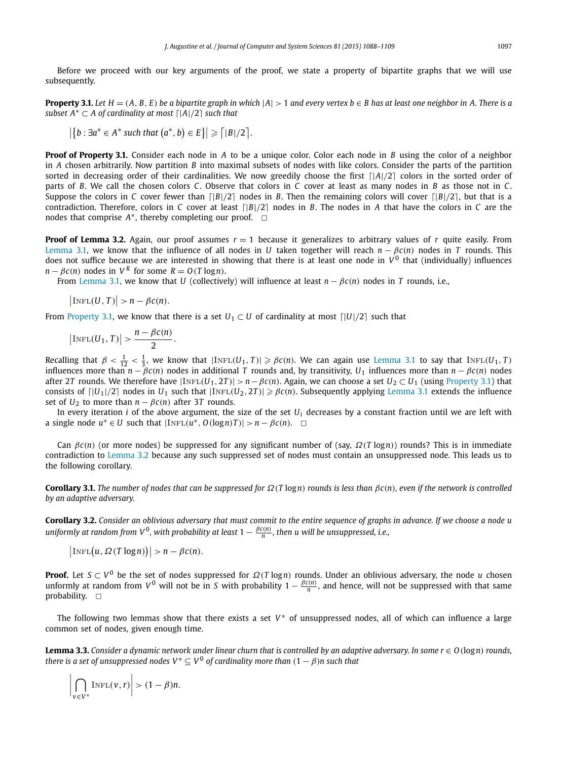<span id="page-9-0"></span>Before we proceed with our key arguments of the proof, we state a property of bipartite graphs that we will use subsequently.

**Property 3.1.** Let  $H = (A, B, E)$  be a bipartite graph in which  $|A| > 1$  and every vertex  $b \in B$  has at least one neighbor in A. There is a *subset*  $A^* \subset A$  *of cardinality at most*  $\lceil |A|/2 \rceil$  *such that* 

$$
\left|\left\{b:\exists a^* \in A^* \text{ such that } \left(a^*,b\right) \in E\right\}\right| \geqslant \left\lceil |B|/2 \right\rceil.
$$

**Proof of Property 3.1.** Consider each node in *A* to be a unique color. Color each node in *B* using the color of a neighbor in *A* chosen arbitrarily. Now partition *B* into maximal subsets of nodes with like colors. Consider the parts of the partition sorted in decreasing order of their cardinalities. We now greedily choose the first [ $|A|/2$ ] colors in the sorted order of parts of *B*. We call the chosen colors *C*. Observe that colors in *C* cover at least as many nodes in *B* as those not in *C*. Suppose the colors in C cover fewer than  $\frac{1}{B}{2}$  nodes in *B*. Then the remaining colors will cover  $\frac{1}{B}{2}$ , but that is a contradiction. Therefore, colors in *C* cover at least  $\lceil |B|/2 \rceil$  nodes in *B*. The nodes in *A* that have the colors in *C* are the nodes that comprise  $A^*$ , thereby completing our proof.  $\Box$ 

**Proof of Lemma 3.2.** Again, our proof assumes  $r = 1$  because it generalizes to arbitrary values of *r* quite easily. From [Lemma 3.1,](#page-7-0) we know that the influence of all nodes in *U* taken together will reach  $n - \beta c(n)$  nodes in *T* rounds. This does not suffice because we are interested in showing that there is at least one node in  $V^0$  that (individually) influences  $n - \beta c(n)$  nodes in  $V^R$  for some  $R = O(T \log n)$ .

From [Lemma 3.1,](#page-7-0) we know that *U* (collectively) will influence at least  $n - \beta c(n)$  nodes in *T* rounds, i.e.,

 $\big|\text{INFL}(U, T)\big| > n - \beta c(n).$ 

From Property 3.1, we know that there is a set  $U_1 \subset U$  of cardinality at most  $\lceil |U|/2 \rceil$  such that

$$
\big|\text{INFL}(U_1,T)\big|>\frac{n-\beta c(n)}{2}.
$$

Recalling that  $\beta < \frac{1}{12} < \frac{1}{3}$ , we know that  $|\text{INFL}(U_1, T)| \ge \beta c(n)$ . We can again use [Lemma 3.1](#page-7-0) to say that  $\text{INFL}(U_1, T)$ influences more than  $n - \beta c(n)$  nodes in additional *T* rounds and, by transitivity,  $U_1$  influences more than  $n - \beta c(n)$  nodes after 2T rounds. We therefore have  $|InFL(U_1, 2T)| > n - \beta c(n)$ . Again, we can choose a set  $U_2 \subset U_1$  (using Property 3.1) that consists of  $\lceil |U_1|/2 \rceil$  nodes in  $U_1$  such that  $|\text{InFL}(U_2, 2T)| \ge \beta c(n)$ . Subsequently applying [Lemma 3.1](#page-7-0) extends the influence set of  $U_2$  to more than  $n - \beta c(n)$  after 3*T* rounds.

In every iteration *i* of the above argument, the size of the set *Ui* decreases by a constant fraction until we are left with a single node  $u^* ∈ U$  such that  $|INFL(u^*, O(log n)T)| > n - βc(n)$ . □

Can *βc(n)* (or more nodes) be suppressed for any significant number of (say, *Ω(T* log*n)*) rounds? This is in immediate contradiction to [Lemma 3.2](#page-8-0) because any such suppressed set of nodes must contain an unsuppressed node. This leads us to the following corollary.

**Corollary 3.1.** The number of nodes that can be suppressed for  $\Omega(T \log n)$  rounds is less than  $\beta c(n)$ , even if the network is controlled *by an adaptive adversary.*

Corollary 3.2. Consider an oblivious adversary that must commit to the entire sequence of graphs in advance. If we choose a node u uniformly at random from V  $^0$ , with probability at least 1  $-\frac{\beta c(n)}{n}$ , then u will be unsuppressed, i.e.,

$$
\big|\text{INFL}\big(u,\Omega(T\log n)\big)\big|>n-\beta c(n).
$$

**Proof.** Let *S* ⊂ *V* <sup>0</sup> be the set of nodes suppressed for *Ω(T* log*n)* rounds. Under an oblivious adversary, the node *u* chosen unformly at random from  $V^0$  will not be in *S* with probability  $1-\frac{\beta c(n)}{n}$ , and hence, will not be suppressed with that same probability.  $\square$ 

The following two lemmas show that there exists a set  $V^*$  of unsuppressed nodes, all of which can influence a large common set of nodes, given enough time.

**Lemma 3.3.** Consider a dynamic network under linear churn that is controlled by an adaptive adversary. In some  $r \in O(\log n)$  rounds, *there is a set of unsuppressed nodes*  $V^* \subseteq V^0$  *of cardinality more than*  $(1 - \beta)n$  *such that* 

$$
\left|\bigcap_{v\in V^*} \text{INFL}(v,r)\right| > (1-\beta)n.
$$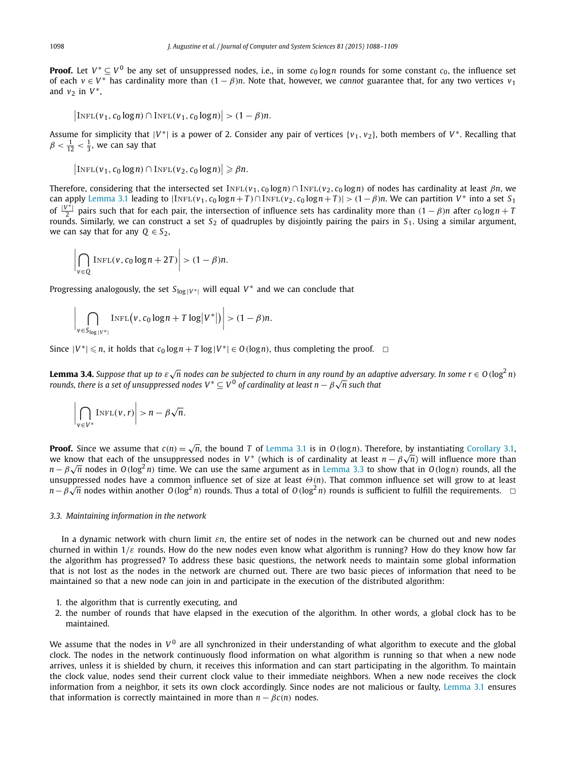<span id="page-10-0"></span>**Proof.** Let  $V^* \subseteq V^0$  be any set of unsuppressed nodes, i.e., in some  $c_0 \log n$  rounds for some constant  $c_0$ , the influence set of each  $v \in V^*$  has cardinality more than  $(1 - \beta)n$ . Note that, however, we *cannot* guarantee that, for any two vertices  $v_1$ and  $v_2$  in  $V^*$ ,

 $\left|\text{INFL}(v_1, c_0 \log n) \cap \text{INFL}(v_1, c_0 \log n)\right| > (1 - \beta)n$ .

Assume for simplicity that  $|V^*|$  is a power of 2. Consider any pair of vertices  $\{v_1, v_2\}$ , both members of  $V^*$ . Recalling that  $\beta < \frac{1}{12} < \frac{1}{3}$ , we can say that

$$
\big|\text{INFL}(v_1, c_0 \log n) \cap \text{INFL}(v_2, c_0 \log n)\big| \geqslant \beta n.
$$

Therefore, considering that the intersected set  $INFL(v_1, c_0 \log n) \cap INFL(v_2, c_0 \log n)$  of nodes has cardinality at least  $\beta n$ , we can apply [Lemma 3.1](#page-7-0) leading to  $|\text{INFL}(v_1, c_0 \log n + T) \cap \text{INFL}(v_2, c_0 \log n + T)| > (1 - \beta)n$ . We can partition  $V^*$  into a set  $S_1$ of  $\frac{|V^*|}{2}$  pairs such that for each pair, the intersection of influence sets has cardinality more than  $(1 - \beta)n$  after  $c_0 \log n + T$ rounds. Similarly, we can construct a set *S*<sup>2</sup> of quadruples by disjointly pairing the pairs in *S*1. Using a similar argument, we can say that for any  $Q \in S_2$ ,

$$
\left|\bigcap_{v\in Q}\text{INFL}(v, c_0\log n + 2T)\right| > (1-\beta)n.
$$

Progressing analogously, the set  $S_{\log |V^*|}$  will equal  $V^*$  and we can conclude that

$$
\bigg|\bigcap_{v \in S_{\log}|V^*|} \text{INFL}\big(v, c_0 \log n + T \log |V^*|\big)\bigg| > (1 - \beta)n.
$$

Since  $|V^*| \le n$ , it holds that  $c_0 \log n + T \log |V^*| \in O(\log n)$ , thus completing the proof.  $\Box$ 

**Lemma 3.4.** Suppose that up to  $\varepsilon\sqrt{n}$  nodes can be subjected to churn in any round by an adaptive adversary. In some  $r\in O(\log^2 n)$ *rounds, there is a set of unsuppressed nodes V* <sup>∗</sup> ⊆ *V* <sup>0</sup> *of cardinality at least n* − *β* <sup>√</sup>*n such that*

$$
\left|\bigcap_{v\in V^*} \text{INFL}(v,r)\right| > n - \beta\sqrt{n}.
$$

**Proof.** Since we assume that  $c(n) = \sqrt{n}$ , the bound *T* of [Lemma 3.1](#page-7-0) is in *O*(log*n*). Therefore, by instantiating [Corollary 3.1,](#page-9-0) **Proot.** Since we assume that  $c(n) = \sqrt{n}$ , the bound *1* of Lemma 3.1 is in  $O(\log n)$ . Therefore, by instantiating Corollary 3.1, it are know that each of the unsuppressed nodes in *V* \* (which is of cardinality at least *n n* − *β* $\sqrt{n}$  nodes in *O(log<sup>2</sup>n)* time. We can use the same argument as in [Lemma 3.3](#page-9-0) to show that in *O(logn)* rounds, all the *n* − *β* $\sqrt{n}$  nodes in *O(log<sup>2</sup>n)* time. We can use the same argument as in Lemm unsuppressed nodes have a common influence set of size at least *Θ(n)*. That common influence set will grow to at least  $n - β$ √*n* nodes within another *O*(log<sup>2</sup> *n*) rounds. Thus a total of *O*(log<sup>2</sup> *n*) rounds is sufficient to fulfill the requirements.  $□$ 

#### *3.3. Maintaining information in the network*

In a dynamic network with churn limit *εn*, the entire set of nodes in the network can be churned out and new nodes churned in within 1*/ε* rounds. How do the new nodes even know what algorithm is running? How do they know how far the algorithm has progressed? To address these basic questions, the network needs to maintain some global information that is not lost as the nodes in the network are churned out. There are two basic pieces of information that need to be maintained so that a new node can join in and participate in the execution of the distributed algorithm:

- 1. the algorithm that is currently executing, and
- 2. the number of rounds that have elapsed in the execution of the algorithm. In other words, a global clock has to be maintained.

We assume that the nodes in  $V^0$  are all synchronized in their understanding of what algorithm to execute and the global clock. The nodes in the network continuously flood information on what algorithm is running so that when a new node arrives, unless it is shielded by churn, it receives this information and can start participating in the algorithm. To maintain the clock value, nodes send their current clock value to their immediate neighbors. When a new node receives the clock information from a neighbor, it sets its own clock accordingly. Since nodes are not malicious or faulty, [Lemma 3.1](#page-7-0) ensures that information is correctly maintained in more than  $n - \beta c(n)$  nodes.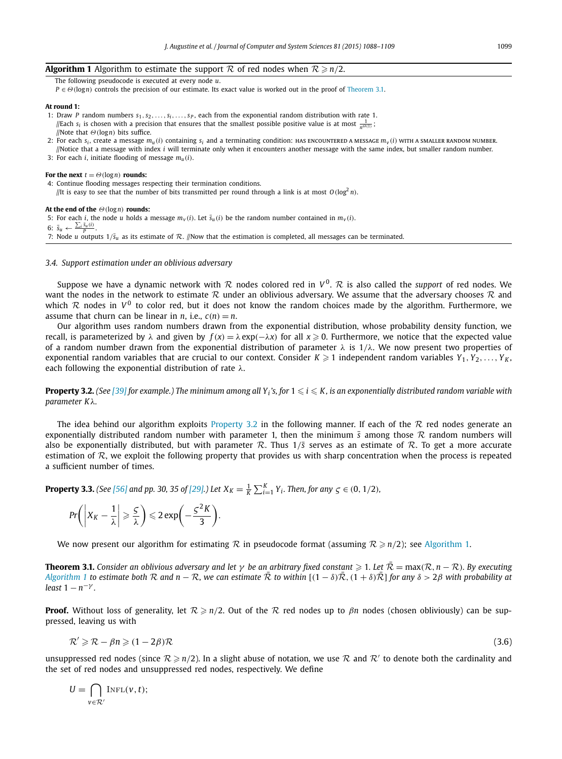# <span id="page-11-0"></span>**Algorithm 1** Algorithm to estimate the support  $R$  of red nodes when  $R \ge n/2$ .

The following pseudocode is executed at every node *u*.

*P* ∈ *Θ*(log*n*) controls the precision of our estimate. Its exact value is worked out in the proof of Theorem 3.1.

#### **At round 1:**

- 1: Draw *P* random numbers  $s_1, s_2, \ldots, s_i, \ldots, s_p$ , each from the exponential random distribution with rate 1.  $\sqrt{\frac{1}{n}}$  is chosen with a precision that ensures that the smallest possible positive value is at most  $\frac{1}{n^{\Theta(1)}}$ ; //Note that *Θ(*log*n)* bits suffice.
- 2: For each  $s_i$ , create a message  $m_u(i)$  containing  $s_i$  and a terminating condition: HAS ENCOUNTERED A MESSAGE  $m_v(i)$  with A SMALLER RANDOM NUMBER. //Notice that a message with index *i* will terminate only when it encounters another message with the same index, but smaller random number.
- 3: For each *i*, initiate flooding of message *mu(i)*.

#### **For the next**  $t = \Theta(\log n)$  **rounds:**

- 4: Continue flooding messages respecting their termination conditions.
- //It is easy to see that the number of bits transmitted per round through a link is at most  $O(\log^2 n)$ .

#### **At the end of the** *Θ(*log*n)* **rounds:**

5: For each *i*, the node *u* holds a message  $m_v(i)$ . Let  $\bar{s}_u(i)$  be the random number contained in  $m_v(i)$ . 6:  $\bar{s}_u \leftarrow \frac{\sum_i \bar{s}_u(i)}{P}$ . 7: Node *u* outputs  $1/\bar{s}_u$  as its estimate of R. //Now that the estimation is completed, all messages can be terminated.

#### *3.4. Support estimation under an oblivious adversary*

Suppose we have a dynamic network with  $R$  nodes colored red in  $V^0$ .  $R$  is also called the *support* of red nodes. We want the nodes in the network to estimate  $R$  under an oblivious adversary. We assume that the adversary chooses  $R$  and which  $R$  nodes in  $V^0$  to color red, but it does not know the random choices made by the algorithm. Furthermore, we assume that churn can be linear in *n*, i.e.,  $c(n) = n$ .

Our algorithm uses random numbers drawn from the exponential distribution, whose probability density function, we recall, is parameterized by  $\lambda$  and given by  $f(x)=\lambda \exp(-\lambda x)$  for all  $x\geqslant 0.$  Furthermore, we notice that the expected value of a random number drawn from the exponential distribution of parameter *λ* is 1*/λ*. We now present two properties of exponential random variables that are crucial to our context. Consider  $K\geqslant 1$  independent random variables  $Y_1,Y_2,\ldots,Y_K,$ each following the exponential distribution of rate *λ*.

**Property 3.2.** (See [\[39\]](#page-21-0) for example.) The minimum among all Y<sub>i</sub>'s, for  $1 \le i \le K$ , is an exponentially distributed random variable with *parameter Kλ.*

The idea behind our algorithm exploits Property 3.2 in the following manner. If each of the  $R$  red nodes generate an exponentially distributed random number with parameter 1, then the minimum  $\bar{s}$  among those  $\mathcal R$  random numbers will also be exponentially distributed, but with parameter R. Thus  $1/\overline{s}$  serves as an estimate of R. To get a more accurate estimation of  $\mathcal R$ , we exploit the following property that provides us with sharp concentration when the process is repeated a sufficient number of times.

**Property 3.3.** (See [\[56\]](#page-21-0) and pp. 30, 35 of [\[29\].](#page-21-0)) Let  $X_K = \frac{1}{K} \sum_{i=1}^K Y_i$ . Then, for any  $\zeta \in (0, 1/2)$ ,

$$
Pr\bigg(\bigg|X_K - \frac{1}{\lambda}\bigg| \geqslant \frac{5}{\lambda}\bigg) \leqslant 2\exp\bigg(-\frac{5^2K}{3}\bigg).
$$

We now present our algorithm for estimating  $R$  in pseudocode format (assuming  $R \ge n/2$ ); see Algorithm 1.

**Theorem 3.1.** Consider an oblivious adversary and let  $\gamma$  be an arbitrary fixed constant  $\geq 1$ . Let  $\overline{R} = \max(R, n - R)$ . By executing Algorithm 1 to estimate both R and  $n - R$ , we can estimate  $\overline{R}$  to within  $[(1 - \delta)\overline{R}, (1 + \delta)\overline{R}]$  for any  $\delta > 2\beta$  with probability at *least*  $1 - n^{-\gamma}$ *.* 

**Proof.** Without loss of generality, let  $R \ge n/2$ . Out of the R red nodes up to  $\beta n$  nodes (chosen obliviously) can be suppressed, leaving us with

$$
\mathcal{R}' \geqslant \mathcal{R} - \beta n \geqslant (1 - 2\beta)\mathcal{R} \tag{3.6}
$$

unsuppressed red nodes (since  $R \ge n/2$ ). In a slight abuse of notation, we use R and R' to denote both the cardinality and the set of red nodes and unsuppressed red nodes, respectively. We define

$$
U = \bigcap_{v \in \mathcal{R}'} \text{INFL}(v, t);
$$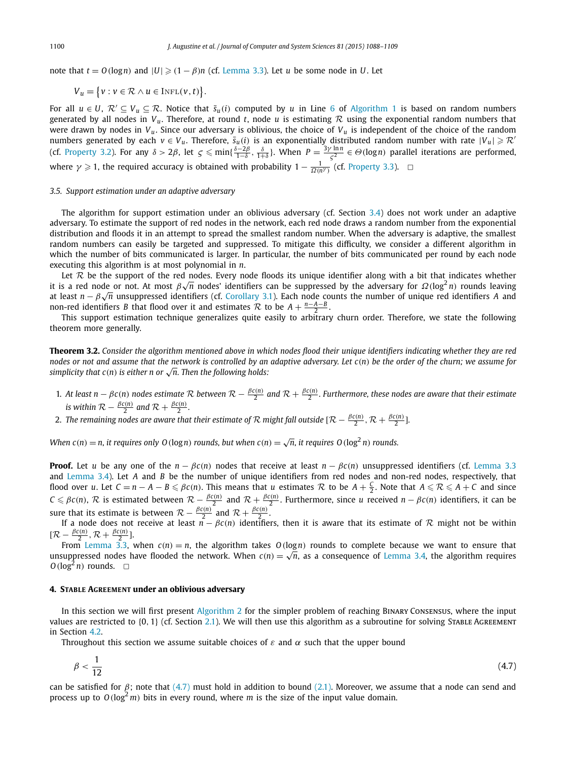<span id="page-12-0"></span>note that  $t = O(\log n)$  and  $|U| \geq (1 - \beta)n$  (cf. [Lemma 3.3\)](#page-9-0). Let *u* be some node in *U*. Let

 $V_u = \{v : v \in \mathcal{R} \land u \in \text{INFL}(v, t)\}.$ 

For all  $u \in U$ ,  $\mathcal{R}' \subseteq V_u \subseteq \mathcal{R}$ . Notice that  $\bar{s}_u(i)$  computed by *u* in Line [6](#page-11-0) of [Algorithm 1](#page-11-0) is based on random numbers generated by all nodes in  $V_u$ . Therefore, at round *t*, node *u* is estimating  $R$  using the exponential random numbers that were drawn by nodes in  $V_u$ . Since our adversary is oblivious, the choice of  $V_u$  is independent of the choice of the random numbers generated by each  $v \in V_u$ . Therefore,  $\overline{s}_u(i)$  is an exponentially distributed random number with rate  $|V_u| \ge R$ (cf. [Property 3.2\)](#page-11-0). For any  $\delta > 2\beta$ , let  $\zeta \le \min\{\frac{\delta-2\beta}{1-\delta},\frac{\delta}{1+\delta}\}\.$  When  $P = \frac{3\gamma \ln n}{\zeta^2} \in \Theta(\log n)$  parallel iterations are performed, where  $\gamma \geqslant 1$ , the required accuracy is obtained with probability  $1 - \frac{1}{\Omega(n^{\gamma})}$  (cf. [Property 3.3\)](#page-11-0).  $\Box$ 

#### *3.5. Support estimation under an adaptive adversary*

The algorithm for support estimation under an oblivious adversary (cf. Section [3.4\)](#page-11-0) does not work under an adaptive adversary. To estimate the support of red nodes in the network, each red node draws a random number from the exponential distribution and floods it in an attempt to spread the smallest random number. When the adversary is adaptive, the smallest random numbers can easily be targeted and suppressed. To mitigate this difficulty, we consider a different algorithm in which the number of bits communicated is larger. In particular, the number of bits communicated per round by each node executing this algorithm is at most polynomial in *n*.

Let  $R$  be the support of the red nodes. Every node floods its unique identifier along with a bit that indicates whether it is a red node or not. At most *β* <sup>√</sup>*<sup>n</sup>* nodes' identifiers can be suppressed by the adversary for *Ω(*log<sup>2</sup> *<sup>n</sup>)* rounds leaving at least *n* − *β* <sup>√</sup>*<sup>n</sup>* unsuppressed identifiers (cf. [Corollary 3.1\)](#page-9-0). Each node counts the number of unique red identifiers *<sup>A</sup>* and non-red identifiers *B* that flood over it and estimates  $\mathcal{R}$  to be  $A + \frac{n-A-B}{2}$ .

This support estimation technique generalizes quite easily to arbitrary churn order. Therefore, we state the following theorem more generally.

Theorem 3.2. Consider the algorithm mentioned above in which nodes flood their unique identifiers indicating whether they are red nodes or not and assume that the network is controlled by an adaptive adversary. Let  $c(n)$  be the order of the churn; we assume for *simplicity that*  $c(n)$  *is either n* or  $\sqrt{n}$ *. Then the following holds:* 

- 1. At least  $n \beta c(n)$  nodes estimate R between  $R \frac{\beta c(n)}{2}$  and  $R + \frac{\beta c(n)}{2}$ . Furthermore, these nodes are aware that their estimate *is within*  $\mathcal{R} - \frac{\beta c(n)}{2}$  *and*  $\mathcal{R} + \frac{\beta c(n)}{2}$ *.*
- 2. The remaining nodes are aware that their estimate of  $\cal R$  might fall outside [ $\cal R-\frac{\beta c(n)}{2},\cal R+\frac{\beta c(n)}{2}$ ].

When  $c(n) = n$ , it requires only O(logn) rounds, but when  $c(n) = \sqrt{n}$ , it requires O(log<sup>2</sup>n) rounds.

**Proof.** Let *u* be any one of the  $n - \beta c(n)$  nodes that receive at least  $n - \beta c(n)$  unsuppressed identifiers (cf. [Lemma 3.3](#page-9-0) and [Lemma 3.4\)](#page-10-0). Let *A* and *B* be the number of unique identifiers from red nodes and non-red nodes, respectively, that flood over u. Let  $C = n - A - B \le \beta c(n)$ . This means that u estimates R to be  $A + \frac{C}{2}$ . Note that  $A \le R \le A + C$  and since  $C \leq \beta c(n)$ ,  $R$  is estimated between  $R - \frac{\beta c(n)}{2}$  and  $R + \frac{\beta c(n)}{2}$ . Furthermore, since u received  $n - \beta c(n)$  identifiers, it can be sure that its estimate is between  $\mathcal{R} - \frac{\beta c(n)}{2}$  and  $\mathcal{R} + \frac{\beta c(n)}{2}$ .

If a node does not receive at least  $n - \beta c(n)$  identifiers, then it is aware that its estimate of R might not be within  $[\mathcal{R} - \frac{\beta c(n)}{2}, \mathcal{R} + \frac{\beta c(n)}{2}].$ 

From [Lemma 3.3,](#page-9-0) when  $c(n) = n$ , the algorithm takes  $O(logn)$  rounds to complete because we want to ensure that unsuppressed nodes have flooded the network. When  $c(n) = \sqrt{n}$ , as a consequence of [Lemma 3.4,](#page-10-0) the algorithm requires  $O(\log^2 n)$  rounds.  $\Box$ 

#### **4. STABLE AGREEMENT under an oblivious adversary**

1

In this section we will first present [Algorithm 2](#page-13-0) for the simpler problem of reaching Binary Consensus, where the input values are restricted to {0, 1} (cf. Section [2.1\)](#page-5-0). We will then use this algorithm as a subroutine for solving STABLE AGREEMENT in Section [4.2.](#page-14-0)

Throughout this section we assume suitable choices of  $\varepsilon$  and  $\alpha$  such that the upper bound

$$
\beta < \frac{1}{12} \tag{4.7}
$$

can be satisfied for  $\beta$ ; note that (4.7) must hold in addition to bound [\(2.1\).](#page-5-0) Moreover, we assume that a node can send and process up to  $O(\log^2 m)$  bits in every round, where *m* is the size of the input value domain.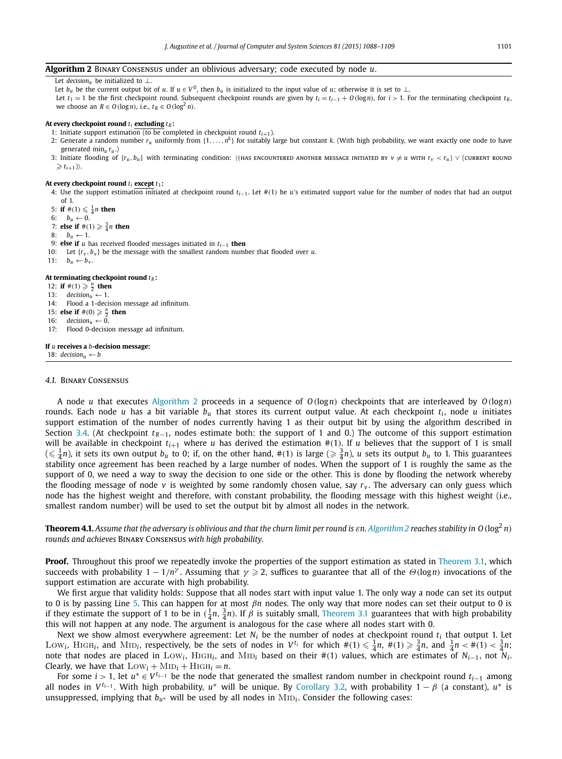<span id="page-13-0"></span>**Algorithm 2** Binary Consensus under an oblivious adversary; code executed by node *u*.

Let *decision*<sub>1</sub> be initialized to ⊥.

Let  $b_u$  be the current output bit of *u*. If  $u \in V^0$ , then  $b_u$  is initialized to the input value of *u*; otherwise it is set to ⊥. Let  $t_1 = 1$  be the first checkpoint round. Subsequent checkpoint rounds are given by  $t_i = t_{i-1} + O(\log n)$ , for  $i > 1$ . For the terminating checkpoint  $t_R$ , we choose an  $R \in O(\log n)$ , i.e.,  $t_R \in O(\log^2 n)$ .

#### At every checkpoint round  $t_i$  excluding  $t_R$ :

- 1: Initiate support estimation (to be completed in checkpoint round  $t_{i+1}$ ).
- 2: Generate a random number  $r_u$  uniformly from  $\{1,\ldots,n^k\}$  for suitably large but constant *k*. (With high probability, we want exactly one node to have generated min*<sup>u</sup> ru* .)
- 3: Initiate flooding of  $\{r_u, b_u\}$  with terminating condition:  $\langle$ (HAS ENCOUNTERED ANOTHER MESSAGE INITIATED BY  $v \neq u$  with  $r_v < r_u$ )  $\vee$  (current round  $\geq t_{i+1}$ ).

#### **At every checkpoint round** *ti* **except** *t*1**:**

- 4: Use the support estimation initiated at checkpoint round *ti*−1. Let #*(*1*)* be *u*'s estimated support value for the number of nodes that had an output of 1.
- 5: **if**  $\#(1) \leq \frac{1}{4}n$  **then**
- 6:  $b_u \leftarrow 0$ .

7: **else if**  $\#(1) \geq \frac{3}{4}n$  **then** 

- 8:  $b_u \leftarrow 1$ .
- 9: **else if** *u* has received flooded messages initiated in *ti*−<sup>1</sup> **then**

10: Let  $\{r_v, b_v\}$  be the message with the smallest random number that flooded over *u*.

11:  $b_u \leftarrow b_v$ .

#### **At terminating checkpoint round** *tR* **:**

- 12: **if**  $\#(1) \ge \frac{n}{2}$  **then**
- 13:  $\text{decision}_u \leftarrow 1.$ <br>14: Flood a 1-decis
- 14: Flood a 1-decision message ad infinitum.
- 15: **else if**  $\#(0) \geqslant \frac{n}{2}$  **then**
- 16:  $decision_u \leftarrow 0.$ <br>17: Flood 0-decision

Flood 0-decision message ad infinitum.

## **If** *u* **receives a** *b***-decision message:**

18:  $decision_u \leftarrow b$ 

#### *4.1.* Binary Consensus

A node *u* that executes Algorithm 2 proceeds in a sequence of *O(*log*n)* checkpoints that are interleaved by *O(*log*n)* rounds. Each node *u* has a bit variable  $b_u$  that stores its current output value. At each checkpoint  $t_i$ , node *u* initiates support estimation of the number of nodes currently having 1 as their output bit by using the algorithm described in Section [3.4.](#page-11-0) (At checkpoint  $t_{R-1}$ , nodes estimate both: the support of 1 and 0.) The outcome of this support estimation will be available in checkpoint  $t_{i+1}$  where *u* has derived the estimation  $\#(1)$ . If *u* believes that the support of 1 is small  $(\leqslant \frac{1}{4}n)$ , it sets its own output  $b_u$  to 0; if, on the other hand,  $\#(1)$  is large  $(\geqslant \frac{3}{4}n)$ ,  $u$  sets its output  $b_u$  to 1. This guarantees stability once agreement has been reached by a large number of nodes. When the support of 1 is roughly the same as the support of 0, we need a way to sway the decision to one side or the other. This is done by flooding the network whereby the flooding message of node  $v$  is weighted by some randomly chosen value, say  $r_v$ . The adversary can only guess which node has the highest weight and therefore, with constant probability, the flooding message with this highest weight (i.e., smallest random number) will be used to set the output bit by almost all nodes in the network.

**Theorem 4.1.** Assume that the adversary is oblivious and that the churn limit per round is  $\varepsilon n$ . Algorithm 2 reaches stability in O ( $\log^2 n$ ) *rounds and achieves* Binary Consensus *with high probability.*

**Proof.** Throughout this proof we repeatedly invoke the properties of the support estimation as stated in [Theorem 3.1,](#page-11-0) which succeeds with probability  $1-1/n^{\gamma}$ . Assuming that  $\gamma\geqslant 2$ , suffices to guarantee that all of the  $\Theta(\log n)$  invocations of the support estimation are accurate with high probability.

We first argue that validity holds: Suppose that all nodes start with input value 1. The only way a node can set its output to 0 is by passing Line 5. This can happen for at most *βn* nodes. The only way that more nodes can set their output to 0 is if they estimate the support of 1 to be in  $(\frac{1}{4}n, \frac{3}{4}n)$ . If  $\beta$  is suitably small, [Theorem 3.1](#page-11-0) guarantees that with high probability this will not happen at any node. The argument is analogous for the case where all nodes start with 0.

Next we show almost everywhere agreement: Let *Ni* be the number of nodes at checkpoint round *ti* that output 1. Let LOW<sub>i</sub>, HIGH<sub>i</sub>, and MID<sub>i</sub>, respectively, be the sets of nodes in  $V^{t_i}$  for which  $\#(1) \leq \frac{1}{4}n$ ,  $\#(1) \geq \frac{3}{4}n$ , and  $\frac{1}{4}n < \#(1) < \frac{3}{4}n$ ; note that nodes are placed in Low<sub>i</sub>, High<sub>i</sub>, and MiD<sub>i</sub> based on their  $#(1)$  values, which are estimates of  $N_{i-1}$ , not  $N_i$ . Clearly, we have that  $Low_i + MID_i + HIGH_i = n$ .

For some *<sup>i</sup> >* 1, let *<sup>u</sup>*<sup>∗</sup> ∈ *<sup>V</sup> ti*−<sup>1</sup> be the node that generated the smallest random number in checkpoint round *ti*−<sup>1</sup> among all nodes in  $V^{t_{i-1}}$ . With high probability,  $u^*$  will be unique. By [Corollary 3.2,](#page-9-0) with probability  $1 - \beta$  (a constant),  $u^*$  is unsuppressed, implying that  $b_{u^*}$  will be used by all nodes in  $\text{MD}_i$ . Consider the following cases: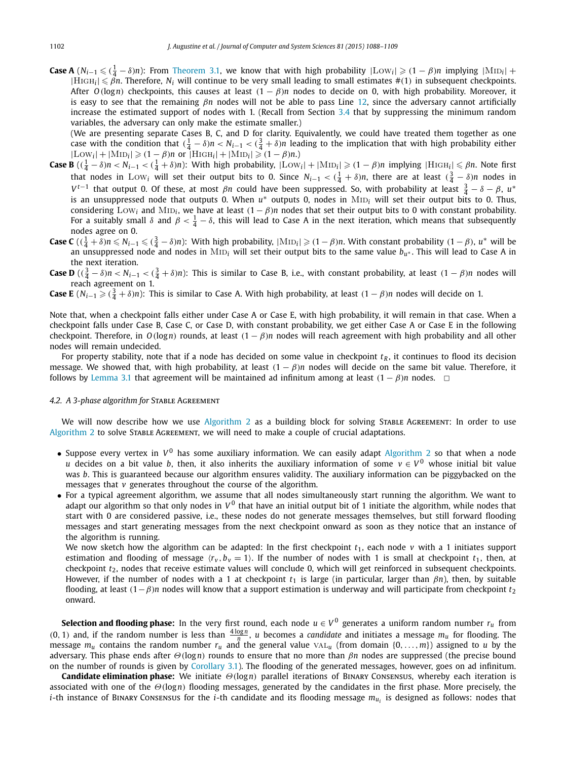<span id="page-14-0"></span>**Case A**  $(N_{i-1} \leq (1 - \delta)n)$ : From [Theorem 3.1,](#page-11-0) we know that with high probability  $|Low_i| \geq (1 - \beta)n$  implying  $|MID_i|$  +  $|HIGH_i| \leq \vec{\beta}n$ . Therefore,  $N_i$  will continue to be very small leading to small estimates #(1) in subsequent checkpoints. After *O(*log*n)* checkpoints, this causes at least *(*1 − *β)n* nodes to decide on 0, with high probability. Moreover, it is easy to see that the remaining *βn* nodes will not be able to pass Line [12,](#page-13-0) since the adversary cannot artificially increase the estimated support of nodes with 1. (Recall from Section [3.4](#page-11-0) that by suppressing the minimum random variables, the adversary can only make the estimate smaller.)

(We are presenting separate Cases B, C, and D for clarity. Equivalently, we could have treated them together as one case with the condition that  $(\frac{1}{4} - \delta)n < N_{i-1} < (\frac{3}{4} + \delta)n$  leading to the implication that with high probability either  $|\text{Low}_i| + |\text{MD}_i| \geq (1 - \beta)n$  or  $|\text{HIGH}_i| + |\text{MD}_i| \geq (1 - \beta)n$ .)

- **Case B**  $((\frac{1}{4} \delta)n < N_{i-1} < (\frac{1}{4} + \delta)n)$ : With high probability,  $|Low_i| + |MID_i| \ge (1 \beta)n$  implying  $|HIGH_i| \le \beta n$ . Note first that nodes in Low<sub>i</sub> will set their output bits to 0. Since  $N_{i-1} < (\frac{1}{4} + \delta)n$ , there are at least  $(\frac{3}{4} - \delta)n$  nodes in *V*<sup>*t*−1</sup> that output 0. Of these, at most *βn* could have been suppressed. So, with probability at least  $\frac{3}{4} - \delta - \beta$ , *u*<sup>∗</sup> is an unsuppressed node that outputs 0. When *<sup>u</sup>*<sup>∗</sup> outputs 0, nodes in Mid*<sup>i</sup>* will set their output bits to 0. Thus, considering Low<sub>i</sub> and M<sub>ID</sub><sub>*i*</sub>, we have at least  $(1 - \beta)n$  nodes that set their output bits to 0 with constant probability. For a suitably small  $\delta$  and  $\beta < \frac{1}{4} - \delta$ , this will lead to Case A in the next iteration, which means that subsequently nodes agree on 0.
- **Case C**  $((\frac{1}{4} + \delta)n \le N_{i-1} \le (\frac{3}{4} \delta)n)$ : With high probability,  $|\text{MID}_i| \ge (1 \beta)n$ . With constant probability  $(1 \beta)$ ,  $u^*$  will be an unsuppressed node and nodes in Mid*<sup>i</sup>* will set their output bits to the same value *bu*<sup>∗</sup> . This will lead to Case <sup>A</sup> in the next iteration.
- **Case D**  $((\frac{3}{4} \delta)n < N_{i-1} < (\frac{3}{4} + \delta)n)$ : This is similar to Case B, i.e., with constant probability, at least  $(1 \beta)n$  nodes will reach agreement on 1.

**Case E**  $(N_{i-1} \geqslant (\frac{3}{4} + \delta)n)$ : This is similar to Case A. With high probability, at least  $(1 - \beta)n$  nodes will decide on 1.

Note that, when a checkpoint falls either under Case A or Case E, with high probability, it will remain in that case. When a checkpoint falls under Case B, Case C, or Case D, with constant probability, we get either Case A or Case E in the following checkpoint. Therefore, in  $O(log n)$  rounds, at least  $(1 - \beta)n$  nodes will reach agreement with high probability and all other nodes will remain undecided.

For property stability, note that if a node has decided on some value in checkpoint  $t_R$ , it continues to flood its decision message. We showed that, with high probability, at least *(*1 − *β)n* nodes will decide on the same bit value. Therefore, it follows by [Lemma 3.1](#page-7-0) that agreement will be maintained ad infinitum among at least  $(1 - \beta)n$  nodes.  $\Box$ 

#### *4.2. A 3-phase algorithm for* Stable Agreement

We will now describe how we use [Algorithm 2](#page-13-0) as a building block for solving STABLE AGREEMENT: In order to use [Algorithm 2](#page-13-0) to solve STABLE AGREEMENT, we will need to make a couple of crucial adaptations.

- Suppose every vertex in  $V^0$  has some auxiliary information. We can easily adapt [Algorithm 2](#page-13-0) so that when a node *u* decides on a bit value *b*, then, it also inherits the auxiliary information of some  $v \in V^0$  whose initial bit value was *b*. This is guaranteed because our algorithm ensures validity. The auxiliary information can be piggybacked on the messages that *v* generates throughout the course of the algorithm.
- For a typical agreement algorithm, we assume that all nodes simultaneously start running the algorithm. We want to adapt our algorithm so that only nodes in  $V^0$  that have an initial output bit of 1 initiate the algorithm, while nodes that start with 0 are considered passive, i.e., these nodes do not generate messages themselves, but still forward flooding messages and start generating messages from the next checkpoint onward as soon as they notice that an instance of the algorithm is running.

We now sketch how the algorithm can be adapted: In the first checkpoint  $t_1$ , each node  $v$  with a 1 initiates support estimation and flooding of message  $\langle r_v, b_v = 1 \rangle$ . If the number of nodes with 1 is small at checkpoint  $t_1$ , then, at checkpoint *t*2, nodes that receive estimate values will conclude 0, which will get reinforced in subsequent checkpoints. However, if the number of nodes with a 1 at checkpoint *t*<sup>1</sup> is large (in particular, larger than *βn*), then, by suitable flooding, at least *(*1−*β)n* nodes will know that a support estimation is underway and will participate from checkpoint *t*<sup>2</sup> onward.

**Selection and flooding phase:** In the very first round, each node  $u \in V^0$  generates a uniform random number  $r_u$  from  $(0, 1)$  and, if the random number is less than  $\frac{4 \log n}{n}$ , *u* becomes a *candidate* and initiates a message  $m_u$  for flooding. The message *mu* contains the random number *ru* and the general value val*<sup>u</sup>* (from domain {0*,...,m*}) assigned to *u* by the adversary. This phase ends after *Θ(*log*n)* rounds to ensure that no more than *βn* nodes are suppressed (the precise bound on the number of rounds is given by [Corollary 3.1\)](#page-9-0). The flooding of the generated messages, however, goes on ad infinitum.

**Candidate elimination phase:** We initiate *Θ(*log*n)* parallel iterations of Binary Consensus, whereby each iteration is associated with one of the *Θ(*log*n)* flooding messages, generated by the candidates in the first phase. More precisely, the *i*-th instance of BINARY Consensus for the *i*-th candidate and its flooding message  $m_{\mu i}$  is designed as follows: nodes that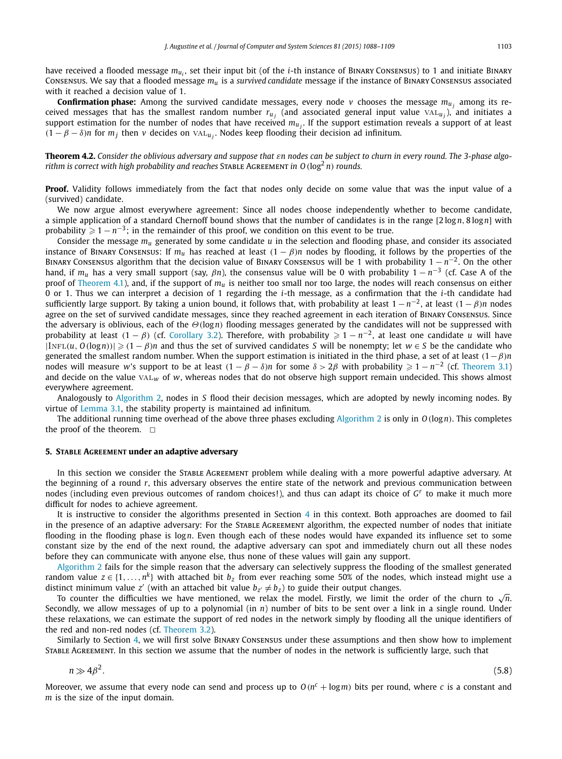<span id="page-15-0"></span>have received a flooded message  $m_{u_i}$ , set their input bit (of the *i*-th instance of BINARY CONSENSUS) to 1 and initiate BINARY Consensus. We say that a flooded message *mu* is a *survived candidate* message if the instance of Binary Consensus associated with it reached a decision value of 1.

**Confirmation phase:** Among the survived candidate messages, every node  $v$  chooses the message  $m_{u_i}$  among its received messages that has the smallest random number  $r_{u_i}$  (and associated general input value  $VAL_{u_i}$ ), and initiates a support estimation for the number of nodes that have received  $m_{u_i}$ . If the support estimation reveals a support of at least  $(1 - \beta - \delta)n$  for  $m_i$  then *v* decides on val<sub>*u*</sub>. Nodes keep flooding their decision ad infinitum.

Theorem 4.2. Consider the oblivious adversary and suppose that  $\varepsilon n$  nodes can be subject to churn in every round. The 3-phase algo*rithm* is correct with high probability and reaches STABLE AGREEMENT in  $O(\log^2 n)$  rounds.

**Proof.** Validity follows immediately from the fact that nodes only decide on some value that was the input value of a (survived) candidate.

We now argue almost everywhere agreement: Since all nodes choose independently whether to become candidate, a simple application of a standard Chernoff bound shows that the number of candidates is in the range [2log *n*, 8log *n*] with probability  $\geqslant 1-n^{-3}$ ; in the remainder of this proof, we condition on this event to be true.

Consider the message *mu* generated by some candidate *u* in the selection and flooding phase, and consider its associated instance of BINARY CONSENSUS: If  $m_u$  has reached at least  $(1 - \beta)n$  nodes by flooding, it follows by the properties of the Binary Consensus algorithm that the decision value of Binary Consensus will be 1 with probability 1 − *n*<sup>−</sup>2. On the other hand, if *mu* has <sup>a</sup> very small support (say, *βn*), the consensus value will be 0 with probability <sup>1</sup> − *<sup>n</sup>*−<sup>3</sup> (cf. Case A of the proof of [Theorem 4.1\)](#page-13-0), and, if the support of *mu* is neither too small nor too large, the nodes will reach consensus on either 0 or 1. Thus we can interpret a decision of 1 regarding the *i*-th message, as a confirmation that the *i*-th candidate had sufficiently large support. By taking a union bound, it follows that, with probability at least  $1 - n^{-2}$ , at least  $(1 - \beta)n$  nodes agree on the set of survived candidate messages, since they reached agreement in each iteration of Binary Consensus. Since the adversary is oblivious, each of the *Θ(*log*n)* flooding messages generated by the candidates will not be suppressed with probability at least  $(1 - \beta)$  (cf. [Corollary 3.2\)](#page-9-0). Therefore, with probability  $\geq 1 - n^{-2}$ , at least one candidate *u* will have  $|{\rm INFL}(u, O(\log n))| \geqslant (1 - \beta)n$  and thus the set of survived candidates *S* will be nonempty; let  $w \in S$  be the candidate who generated the smallest random number. When the support estimation is initiated in the third phase, a set of at least *(*1−*β)n* nodes will measure w's support to be at least  $(1 - \beta - \delta)n$  for some  $\delta > 2\beta$  with probability  $\geqslant 1 - n^{-2}$  (cf. [Theorem 3.1\)](#page-11-0) and decide on the value val*<sup>w</sup>* of *w*, whereas nodes that do not observe high support remain undecided. This shows almost everywhere agreement.

Analogously to [Algorithm 2,](#page-13-0) nodes in *S* flood their decision messages, which are adopted by newly incoming nodes. By virtue of [Lemma 3.1,](#page-7-0) the stability property is maintained ad infinitum.

The additional running time overhead of the above three phases excluding [Algorithm 2](#page-13-0) is only in *O(*log*n)*. This completes the proof of the theorem.  $\square$ 

#### **5. STABLE AGREEMENT under an adaptive adversary**

In this section we consider the Stable Agreement problem while dealing with a more powerful adaptive adversary. At the beginning of a round *r*, this adversary observes the entire state of the network and previous communication between nodes (including even previous outcomes of random choices!), and thus can adapt its choice of *G<sup>r</sup>* to make it much more difficult for nodes to achieve agreement.

It is instructive to consider the algorithms presented in Section [4](#page-12-0) in this context. Both approaches are doomed to fail in the presence of an adaptive adversary: For the STABLE AGREEMENT algorithm, the expected number of nodes that initiate flooding in the flooding phase is log*n*. Even though each of these nodes would have expanded its influence set to some constant size by the end of the next round, the adaptive adversary can spot and immediately churn out all these nodes before they can communicate with anyone else, thus none of these values will gain any support.

[Algorithm 2](#page-13-0) fails for the simple reason that the adversary can selectively suppress the flooding of the smallest generated random value  $z \in \{1, \ldots, n^k\}$  with attached bit  $b_z$  from ever reaching some 50% of the nodes, which instead might use a distinct minimum value *z'* (with an attached bit value  $b_z \neq b_z$ ) to guide their output changes.

To counter the difficulties we have mentioned, we relax the model. Firstly, we limit the order of the churn to  $\sqrt{n}$ . Secondly, we allow messages of up to a polynomial (in *n*) number of bits to be sent over a link in a single round. Under these relaxations, we can estimate the support of red nodes in the network simply by flooding all the unique identifiers of the red and non-red nodes (cf. [Theorem 3.2\)](#page-12-0).

Similarly to Section [4,](#page-12-0) we will first solve Binary Consensus under these assumptions and then show how to implement Stable Agreement. In this section we assume that the number of nodes in the network is sufficiently large, such that

$$
n \gg 4\beta^2. \tag{5.8}
$$

Moreover, we assume that every node can send and process up to  $O(n^c + \log m)$  bits per round, where *c* is a constant and *m* is the size of the input domain.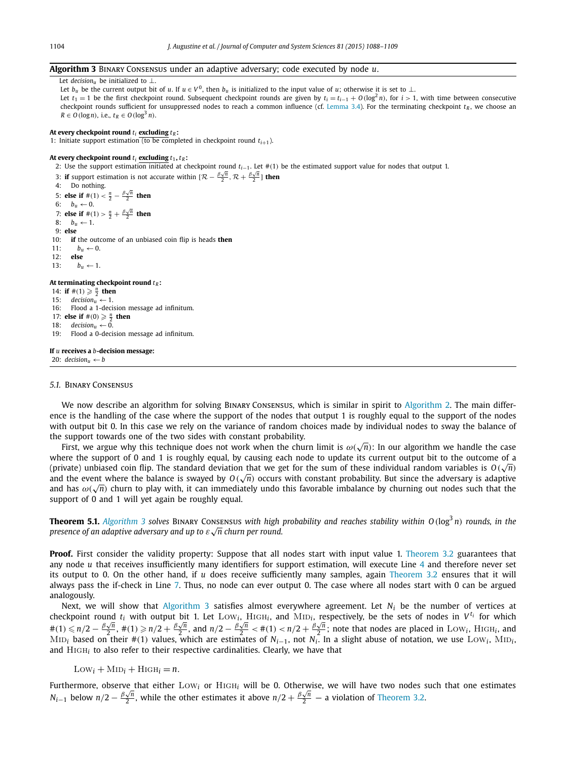#### <span id="page-16-0"></span>**Algorithm 3** Binary Consensus under an adaptive adversary; code executed by node *u*.

Let *decisionu* be initialized to ⊥. Let *b<sub>u</sub>* be the current output bit of *u*. If  $u \in V^0$ , then *b<sub>u</sub>* is initialized to the input value of *u*; otherwise it is set to ⊥. Let  $t_1 = 1$  be the first checkpoint round. Subsequent checkpoint rounds are given by  $t_i = t_{i-1} + O(\log^2 n)$ , for  $i > 1$ , with time between consecutive checkpoint rounds sufficient for unsuppressed nodes to reach a common influence (cf. [Lemma 3.4\)](#page-10-0). For the terminating checkpoint  $t<sub>R</sub>$ , we choose an  $R \in O(\log n)$ , i.e.,  $t_R \in O(\log^3 n)$ .

#### At every checkpoint round  $t_i$  excluding  $t_R$ :

1: Initiate support estimation (to be completed in checkpoint round  $t_{i+1}$ ).

### At every checkpoint round  $t_i$  excluding  $t_1$ ,  $t_R$ :

2: Use the support estimation initiated at checkpoint round *ti*−1. Let #*(*1*)* be the estimated support value for nodes that output 1.

3: **if** support estimation is not accurate within  $[\mathcal{R} - \frac{\beta \sqrt{n}}{2}, \mathcal{R} + \frac{\beta \sqrt{n}}{2}]$  then

4: Do nothing. 5: **else if**  $#(1) < \frac{n}{2} - \frac{\beta \sqrt{n}}{2}$  then 6:  $b_u \leftarrow 0$ . 7: **else if**  $#(1) > \frac{n}{2} + \frac{\beta \sqrt{n}}{2}$  then 8:  $b_u \leftarrow 1$ . 9: **else** 10: **if** the outcome of an unbiased coin flip is heads **then** 11:  $b_u \leftarrow 0$ . 12: **else** 13:  $b_u \leftarrow 1$ . At terminating checkpoint round  $t_R$ : 14: **if**  $\#(1) \ge \frac{n}{2}$  **then** 15:  $decision_u \leftarrow 1$ .

16: Flood a 1-decision message ad infinitum.

17: **else if**  $\#(0) \ge \frac{n}{2}$  **then** 

18:  $\text{decision}_{u} \leftarrow 0.$ 

19: Flood a 0-decision message ad infinitum.

#### **If** *u* **receives a** *b***-decision message:**

20:  $decision_u \leftarrow b$ 

#### *5.1.* Binary Consensus

We now describe an algorithm for solving Binary Consensus, which is similar in spirit to [Algorithm 2.](#page-13-0) The main difference is the handling of the case where the support of the nodes that output 1 is roughly equal to the support of the nodes with output bit 0. In this case we rely on the variance of random choices made by individual nodes to sway the balance of the support towards one of the two sides with constant probability.

First, we argue why this technique does not work when the churn limit is *ω(* <sup>√</sup>*n)*: In our algorithm we handle the case where the support of 0 and 1 is roughly equal, by causing each node to update its current output bit to the outcome of a where the support of 0 and 1 is roughly equal, by causing each hode to update its current output bit to the outcome of a<br>(private) unbiased coin flip. The standard deviation that we get for the sum of these individual ran (private) unbiased coin lifp. The standard deviation that we get for the sum of these individual random variables is  $O(\sqrt{n})$ <br>and the event where the balance is swayed by  $O(\sqrt{n})$  occurs with constant probability. But since and the event where the balance is swayed by  $O(\sqrt{n})$  occurs with constant probability, but since the adversary is adaptive and has  $\omega(\sqrt{n})$  churn to play with, it can immediately undo this favorable imbalance by churning support of 0 and 1 will yet again be roughly equal.

**Theorem 5.1.** Algorithm 3 solves BINARY CONSENSUS with high probability and reaches stability within  $O(log^3 n)$  rounds, in the *presence of an adaptive adversary and up to ε* <sup>√</sup>*n churn per round.*

**Proof.** First consider the validity property: Suppose that all nodes start with input value 1. [Theorem 3.2](#page-12-0) guarantees that any node *u* that receives insufficiently many identifiers for support estimation, will execute Line 4 and therefore never set its output to 0. On the other hand, if *u* does receive sufficiently many samples, again [Theorem 3.2](#page-12-0) ensures that it will always pass the if-check in Line 7. Thus, no node can ever output 0. The case where all nodes start with 0 can be argued analogously.

Next, we will show that Algorithm 3 satisfies almost everywhere agreement. Let *Ni* be the number of vertices at checkpoint round  $t_i$  with output bit 1. Let  $Low_i$ ,  $High_i$ , and  $MID_i$ , respectively, be the sets of nodes in  $V^{t_i}$  for which  $\#(1) \le n/2 - \frac{\beta \sqrt{n}}{2}$ ,  $\#(1) \ge n/2 + \frac{\beta \sqrt{n}}{2}$ , and  $n/2 - \frac{\beta \sqrt{n}}{2} \le \#(1) < n/2 + \frac{\beta \sqrt{n}}{2}$ ; note that nodes are placed in Low<sub>1</sub>, High<sub>1</sub>, and  $n/2 - \frac{\beta \sqrt{n}}{2}$ ,  $\#(1) \ge n/2 + \frac{\beta \sqrt{n}}{2}$ MiD<sub>i</sub> based on their #(1) values, which are estimates of  $N_{i-1}$ , not  $N_i$ . In a slight abuse of notation, we use Low<sub>i</sub>, MiD<sub>i</sub>, and High*<sup>i</sup>* to also refer to their respective cardinalities. Clearly, we have that

 $Low<sub>i</sub> + MID<sub>i</sub> + HIGH<sub>i</sub> = n$ .

Furthermore, observe that either Low*<sup>i</sup>* or High*<sup>i</sup>* will be 0. Otherwise, we will have two nodes such that one estimates *N<sub>i</sub>*−1 below  $n/2 - \frac{\beta \sqrt{n}}{2}$ , while the other estimates it above  $n/2 + \frac{\beta \sqrt{n}}{2}$  — a violation of [Theorem 3.2.](#page-12-0)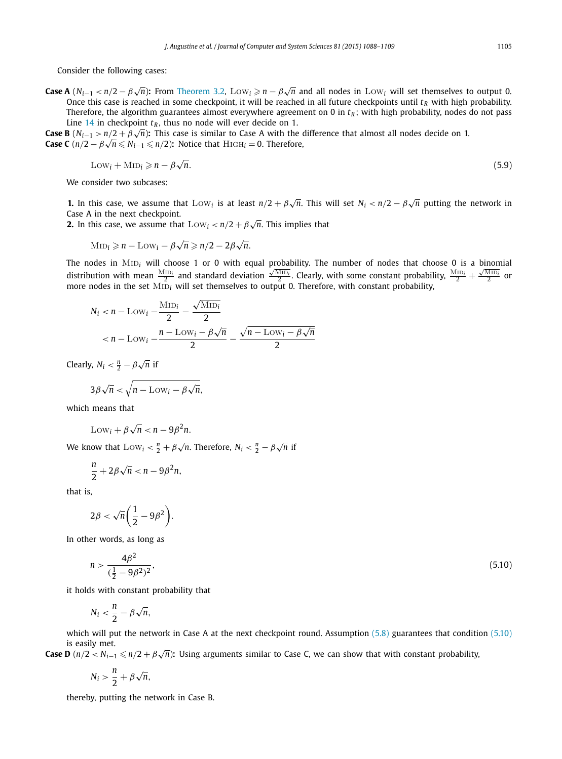Consider the following cases:

**Case A**  $(N_{i-1} < n/2 - \beta \sqrt{n})$ : From [Theorem 3.2,](#page-12-0) Low<sub>i</sub>  $\ge n - \beta \sqrt{n}$  and all nodes in Low<sub>i</sub> will set themselves to output 0. Once this case is reached in some checkpoint, it will be reached in all future checkpoints until  $t_R$  with high probability. Therefore, the algorithm guarantees almost everywhere agreement on 0 in  $t_R$ ; with high probability, nodes do not pass Line [14](#page-16-0) in checkpoint  $t_R$ , thus no node will ever decide on 1.

**Case B** (*N<sub>i−1</sub> > n/2* + *β* $\sqrt{n}$ ): This case is similar to Case A with the difference that almost all nodes decide on 1. **Case B** ( $N_{i-1} > n/2 + p\sqrt{n}$ ): This case is similar to case A with the case C ( $n/2 - \beta\sqrt{n} \le N_{i-1} \le n/2$ ): Notice that  $H_1 = 0$ . Therefore,

$$
Low_i + MID_i \geqslant n - \beta \sqrt{n}.\tag{5.9}
$$

We consider two subcases:

**1.** In this case, we assume that  $Low_i$  is at least  $n/2 + \beta \sqrt{n}$ . This will set  $N_i < n/2 - \beta \sqrt{n}$  putting the network in Case A in the next checkpoint.

**2.** In this case, we assume that Low*<sup>i</sup> < <sup>n</sup>/*<sup>2</sup> + *β* <sup>√</sup>*n*. This implies that

$$
MID_i \geq n - Low_i - \beta \sqrt{n} \geq n/2 - 2\beta \sqrt{n}.
$$

The nodes in MID<sub>i</sub> will choose 1 or 0 with equal probability. The number of nodes that choose 0 is a binomial distribution with mean  $\frac{Mf_{1D_f}}{2}$  and standard deviation  $\frac{\sqrt{Mf_{1D}}i}{2}$ . Clearly, with some constant probability,  $\frac{Mf_{1D_f}}{2} + \frac{\sqrt{Mf_{1D}}i}{2}$  or more nodes in the set MID<sub>i</sub> will set themselves to output 0. Therefore, with constant probability,

$$
N_i < n - \text{Low}_i - \frac{\text{MD}_i}{2} - \frac{\sqrt{\text{MD}_i}}{2}
$$
\n
$$
< n - \text{Low}_i - \frac{n - \text{Low}_i - \beta\sqrt{n}}{2} - \frac{\sqrt{n - \text{Low}_i - \beta\sqrt{n}}}{2}
$$

Clearly,  $N_i < \frac{n}{2} - \beta \sqrt{n}$  if

$$
3\beta\sqrt{n} < \sqrt{n-\mathrm{Low}_i - \beta\sqrt{n}},
$$

which means that

$$
Low_i + \beta \sqrt{n} < n - 9\beta^2 n.
$$

We know that  $\text{Low}_i < \frac{n}{2} + \beta \sqrt{n}$ . Therefore,  $N_i < \frac{n}{2} - \beta \sqrt{n}$  if

$$
\frac{n}{2}+2\beta\sqrt{n} < n-9\beta^2 n,
$$

that is,

$$
2\beta < \sqrt{n}\bigg(\frac{1}{2}-9\beta^2\bigg).
$$

In other words, as long as

$$
n > \frac{4\beta^2}{(\frac{1}{2} - 9\beta^2)^2},\tag{5.10}
$$

it holds with constant probability that

$$
N_i < \frac{n}{2} - \beta \sqrt{n},
$$

which will put the network in Case A at the next checkpoint round. Assumption [\(5.8\)](#page-15-0) guarantees that condition (5.10) is easily met.

**Case D** (*n/*2 *< Ni*−<sup>1</sup> *n/*2 + *β* <sup>√</sup>*n*)**:** Using arguments similar to Case C, we can show that with constant probability,

$$
N_i > \frac{n}{2} + \beta \sqrt{n},
$$

thereby, putting the network in Case B.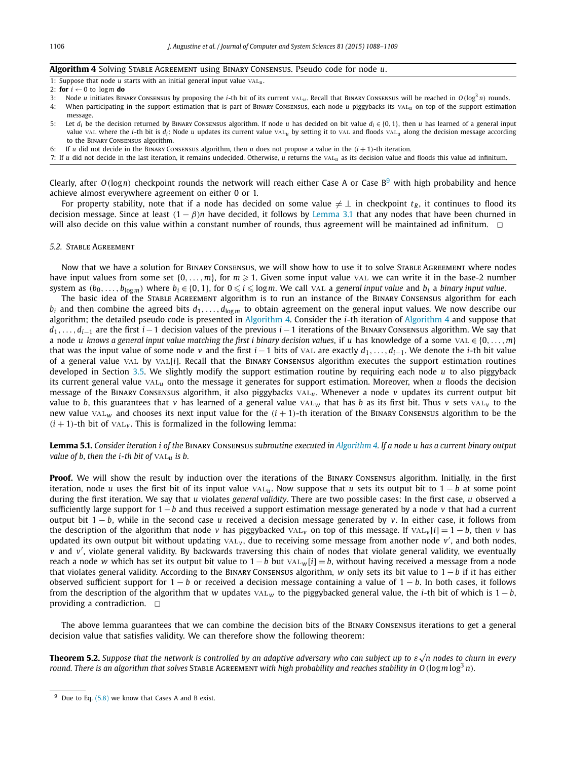#### <span id="page-18-0"></span>**Algorithm 4** Solving Stable Agreement using Binary Consensus. Pseudo code for node *u*.

1: Suppose that node  $u$  starts with an initial general input value  $\text{VAL}_{u}$ .

- 2: **for**  $i \leftarrow 0$  to logm **do**
- 3: Node *u* initiates Binary Consensus by proposing the *i*-th bit of its current val*<sup>u</sup>* . Recall that Binary Consensus will be reached in *O(*log3 *n)* rounds.
- 4: When participating in the support estimation that is part of Binary Consensus, each node *u* piggybacks its val*<sup>u</sup>* on top of the support estimation message.
- 5: Let *di* be the decision returned by Binary Consensus algorithm. If node *u* has decided on bit value *di* ∈ {0*,* 1}, then *u* has learned of a general input value VAL where the *i*-th bit is  $d_i$ : Node *u* updates its current value VAL<sub>u</sub> by setting it to VAL and floods VAL<sub>u</sub> along the decision message according to the Binary Consensus algorithm.
- 6: If *u* did not decide in the BINARY CONSENSUS algorithm, then *u* does not propose a value in the  $(i + 1)$ -th iteration.
- 7: If *u* did not decide in the last iteration, it remains undecided. Otherwise, *u* returns the val*<sup>u</sup>* as its decision value and floods this value ad infinitum.

Clearly, after  $O(\log n)$  checkpoint rounds the network will reach either Case A or Case B<sup>9</sup> with high probability and hence achieve almost everywhere agreement on either 0 or 1.

For property stability, note that if a node has decided on some value  $\neq \perp$  in checkpoint  $t_R$ , it continues to flood its decision message. Since at least  $(1 - \beta)n$  have decided, it follows by [Lemma 3.1](#page-7-0) that any nodes that have been churned in will also decide on this value within a constant number of rounds, thus agreement will be maintained ad infinitum.  $\Box$ 

#### *5.2.* Stable Agreement

Now that we have a solution for Binary Consensus, we will show how to use it to solve Stable Agreement where nodes have input values from some set  $\{0,\ldots,m\}$ , for  $m\geqslant 1$ . Given some input value  $\vee$ AL we can write it in the base-2 number system as  $(b_0, \ldots, b_{\log m})$  where  $b_i \in \{0, 1\}$ , for  $0 \le i \le \log m$ . We call VAL a general input value and  $b_i$  a binary input value.

The basic idea of the Stable Agreement algorithm is to run an instance of the Binary Consensus algorithm for each  $b_i$  and then combine the agreed bits  $d_1, \ldots, d_{\log m}$  to obtain agreement on the general input values. We now describe our algorithm; the detailed pseudo code is presented in Algorithm 4. Consider the *i*-th iteration of Algorithm 4 and suppose that *d*<sub>1</sub>*,...,d<sub>i−1</sub>* are the first *i* −1 decision values of the previous *i* −1 iterations of the BINARY CONSENSUS algorithm. We say that a node *u* knows a general input value matching the first *i* binary decision values, if *u* has knowledge of a some vAL  $\in \{0, \ldots, m\}$ that was the input value of some node *<sup>v</sup>* and the first *<sup>i</sup>* −1 bits of val are exactly *<sup>d</sup>*1*,...,di*−1. We denote the *<sup>i</sup>*-th bit value of a general value val by val[*i*]. Recall that the Binary Consensus algorithm executes the support estimation routines developed in Section [3.5.](#page-12-0) We slightly modify the support estimation routine by requiring each node *u* to also piggyback its current general value val*<sup>u</sup>* onto the message it generates for support estimation. Moreover, when *u* floods the decision message of the Binary Consensus algorithm, it also piggybacks val*u*. Whenever a node *v* updates its current output bit value to *b*, this guarantees that *v* has learned of a general value  $VAL<sub>W</sub>$  that has *b* as its first bit. Thus *v* sets  $VAL<sub>V</sub>$  to the new value  $VAL_{w}$  and chooses its next input value for the  $(i + 1)$ -th iteration of the BINARY CONSENSUS algorithm to be the  $(i + 1)$ -th bit of  $VAL<sub>v</sub>$ . This is formalized in the following lemma:

Lemma 5.1. Consider iteration i of the BINARY CONSENSUS subroutine executed in Algorithm 4. If a node u has a current binary output *value of b*, *then the i*-*th bit of*  $VAL<sub>u</sub>$  *is b*.

**Proof.** We will show the result by induction over the iterations of the Binary Consensus algorithm. Initially, in the first iteration, node *u* uses the first bit of its input value val*u*. Now suppose that *u* sets its output bit to 1 − *b* at some point during the first iteration. We say that *u* violates *general validity*. There are two possible cases: In the first case, *u* observed a sufficiently large support for 1−*b* and thus received a support estimation message generated by a node *v* that had a current output bit 1 − *b*, while in the second case *u* received a decision message generated by *v*. In either case, it follows from the description of the algorithm that node *v* has piggybacked val<sub>*v*</sub> on top of this message. If val<sub>*v*</sub> [*i*] = 1 − *b*, then *v* has updated its own output bit without updating  $\text{VAL}_{v}$ , due to receiving some message from another node v', and both nodes, *v* and *v* , violate general validity. By backwards traversing this chain of nodes that violate general validity, we eventually reach a node *w* which has set its output bit value to 1−*b* but val*<sup>w</sup>* [*i*] = *b*, without having received a message from a node that violates general validity. According to the Binary Consensus algorithm, *w* only sets its bit value to 1 −*b* if it has either observed sufficient support for 1 − *b* or received a decision message containing a value of 1 − *b*. In both cases, it follows from the description of the algorithm that *w* updates vAL<sub>*w*</sub> to the piggybacked general value, the *i*-th bit of which is  $1 - b$ , providing a contradiction.  $\Box$ 

The above lemma guarantees that we can combine the decision bits of the Binary Consensus iterations to get a general decision value that satisfies validity. We can therefore show the following theorem:

**Theorem 5.2.** Suppose that the network is controlled by an adaptive adversary who can subject up to  $\varepsilon\sqrt{n}$  nodes to churn in every round. There is an algorithm that solves STABLE AGREEMENT with high probability and reaches stability in O( $\log m \log^3 n$ ).

 $9$  Due to Eq.  $(5.8)$  we know that Cases A and B exist.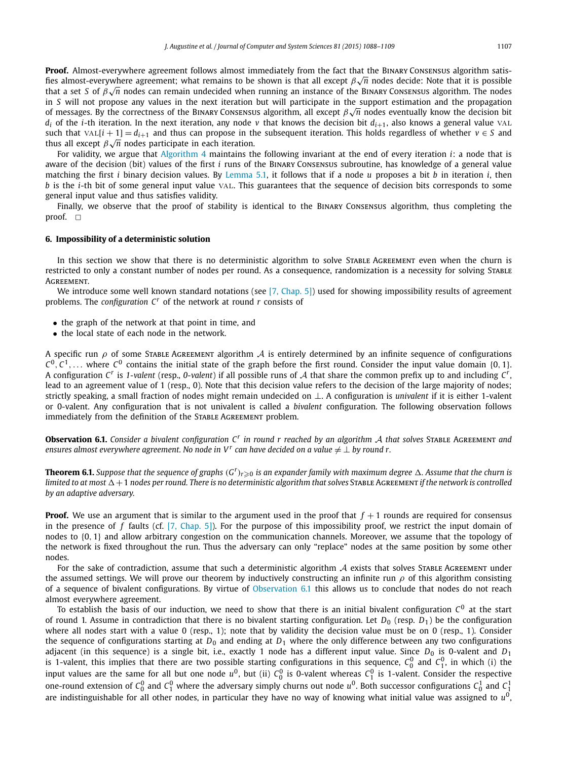<span id="page-19-0"></span>For validity, we argue that [Algorithm 4](#page-18-0) maintains the following invariant at the end of every iteration *i*: a node that is aware of the decision (bit) values of the first *i* runs of the Binary Consensus subroutine, has knowledge of a general value matching the first *i* binary decision values. By [Lemma 5.1,](#page-18-0) it follows that if a node *u* proposes a bit *b* in iteration *i*, then *b* is the *i*-th bit of some general input value val. This guarantees that the sequence of decision bits corresponds to some general input value and thus satisfies validity.

Finally, we observe that the proof of stability is identical to the Binary Consensus algorithm, thus completing the proof.  $\Box$ 

#### **6. Impossibility of a deterministic solution**

In this section we show that there is no deterministic algorithm to solve STABLE AGREEMENT even when the churn is restricted to only a constant number of nodes per round. As a consequence, randomization is a necessity for solving STABLE **AGREEMENT.** 

We introduce some well known standard notations (see  $[7, Chap. 5]$ ) used for showing impossibility results of agreement problems. The *configuration C<sup>r</sup>* of the network at round *r* consists of

- the graph of the network at that point in time, and
- the local state of each node in the network.

A specific run  $\rho$  of some STABLE AGREEMENT algorithm  $\cal{A}$  is entirely determined by an infinite sequence of configurations  $C^0$ ,  $C^1$ ,... where  $C^0$  contains the initial state of the graph before the first round. Consider the input value domain {0, 1}. A configuration *<sup>C</sup><sup>r</sup>* is *1-valent* (resp., *0-valent*) if all possible runs of <sup>A</sup> that share the common prefix up to and including *<sup>C</sup>r*, lead to an agreement value of 1 (resp., 0). Note that this decision value refers to the decision of the large majority of nodes; strictly speaking, a small fraction of nodes might remain undecided on ⊥. A configuration is *univalent* if it is either 1-valent or 0-valent. Any configuration that is not univalent is called a *bivalent* configuration. The following observation follows immediately from the definition of the STABLE AGREEMENT problem.

**Observation 6.1.** Consider a bivalent configuration  $C<sup>r</sup>$  in round r reached by an algorithm A that solves STABLE AGREEMENT and *ensures almost everywhere agreement. No node in*  $V^r$  *can have decided on a value*  $\neq \bot$  *by round r.* 

**Theorem 6.1.** Suppose that the sequence of graphs  $(G^r)_{r\geqslant 0}$  is an expander family with maximum degree  $\Delta$ . Assume that the churn is limited to at most  $\Delta + 1$  nodes per round. There is no deterministic algorithm that solves STABLE AGREEMENT if the network is controlled *by an adaptive adversary.*

**Proof.** We use an argument that is similar to the argument used in the proof that  $f + 1$  rounds are required for consensus in the presence of *f* faults (cf. [7, [Chap.](#page-20-0) 5]). For the purpose of this impossibility proof, we restrict the input domain of nodes to {0*,* 1} and allow arbitrary congestion on the communication channels. Moreover, we assume that the topology of the network is fixed throughout the run. Thus the adversary can only "replace" nodes at the same position by some other nodes.

For the sake of contradiction, assume that such a deterministic algorithm  $A$  exists that solves STABLE AGREEMENT under the assumed settings. We will prove our theorem by inductively constructing an infinite run *ρ* of this algorithm consisting of a sequence of bivalent configurations. By virtue of Observation 6.1 this allows us to conclude that nodes do not reach almost everywhere agreement.

To establish the basis of our induction, we need to show that there is an initial bivalent configuration  $C^0$  at the start of round 1. Assume in contradiction that there is no bivalent starting configuration. Let  $D_0$  (resp.  $D_1$ ) be the configuration where all nodes start with a value 0 (resp., 1); note that by validity the decision value must be on 0 (resp., 1). Consider the sequence of configurations starting at  $D_0$  and ending at  $D_1$  where the only difference between any two configurations adjacent (in this sequence) is a single bit, i.e., exactly 1 node has a different input value. Since *D*<sub>0</sub> is 0-valent and *D*<sub>1</sub> is 1-valent, this implies that there are two possible starting configurations in this sequence,  $C_0^0$  and  $C_1^0$ , in which (i) the input values are the same for all but one node  $u^0$ , but (ii)  $C_0^0$  is 0-valent whereas  $C_1^0$  is 1-valent. Consider the respective one-round extension of  $C_0^0$  and  $C_1^0$  where the adversary simply churns out node  $u^0$ . Both successor configurations  $C_0^1$  and  $C_1^1$ are indistinguishable for all other nodes, in particular they have no way of knowing what initial value was assigned to *u*0,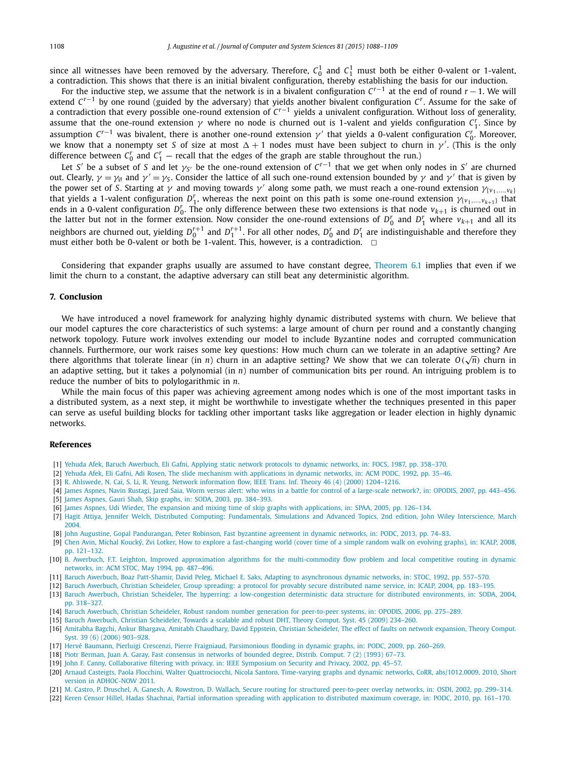<span id="page-20-0"></span>since all witnesses have been removed by the adversary. Therefore,  $C_0^1$  and  $C_1^1$  must both be either 0-valent or 1-valent,<br>a contradiction. This shows that there is an initial bivalent configuration, thereby establi

For the inductive step, we assume that the network is in a bivalent configuration *Cr*−<sup>1</sup> at the end of round *r* −1. We will extend *Cr*−<sup>1</sup> by one round (guided by the adversary) that yields another bivalent configuration *Cr*. Assume for the sake of a contradiction that every possible one-round extension of *Cr*−<sup>1</sup> yields a univalent configuration. Without loss of generality, assume that the one-round extension *γ* where no node is churned out is 1-valent and yields configuration *C<sup>r</sup>* <sup>1</sup>. Since by assumption  $C^{r-1}$  was bivalent, there is another one-round extension  $\gamma'$  that yields a 0-valent configuration  $C_0^r$ . Moreover, we know that a nonempty set *S* of size at most  $\Delta+1$  nodes must have been subject to churn in  $\gamma'$ . (This is the only difference between  $C_0^r$  and  $C_1^r$  — recall that the edges of the graph are stable throughout the run.)

Let *S'* be a subset of *S* and let  $\gamma_{S'}$  be the one-round extension of  $C^{r-1}$  that we get when only nodes in *S'* are churned out. Clearly,  $γ = γ$ <sub>Ø</sub> and  $γ' = γ_5$ . Consider the lattice of all such one-round extension bounded by  $γ$  and  $γ'$  that is given by the power set of *S*. Starting at *γ* and moving towards *γ'* along some path, we must reach a one-round extension  $γ_{(ν_1,...,ν_k)}$ that yields a 1-valent configuration  $D_1^r$ , whereas the next point on this path is some one-round extension  $\gamma_{\{v_1,\dots,v_{k+1}\}}$  that ends in a 0-valent configuration  $D_0^r$ . The only difference between these two extensions is that node  $v_{k+1}$  is churned out in the latter but not in the former extension. Now consider the one-round extensions of  $D_0^r$  and  $D_1^r$  where  $v_{k+1}$  and all its neighbors are churned out, yielding  $D_0^{r+1}$  and  $D_1^{r+1}$ . For all other nodes,  $D_0^r$  and  $D_1^r$  are indistinguishable and therefore they must either both be 0-valent or both be 1-valent. This, however, is a contradiction.  $\Box$ 

Considering that expander graphs usually are assumed to have constant degree, [Theorem 6.1](#page-19-0) implies that even if we limit the churn to a constant, the adaptive adversary can still beat any deterministic algorithm.

#### **7. Conclusion**

We have introduced a novel framework for analyzing highly dynamic distributed systems with churn. We believe that our model captures the core characteristics of such systems: a large amount of churn per round and a constantly changing network topology. Future work involves extending our model to include Byzantine nodes and corrupted communication channels. Furthermore, our work raises some key questions: How much churn can we tolerate in an adaptive setting? Are there algorithms that tolerate linear (in *n*) churn in an adaptive setting? We show that we can tolerate *O(* <sup>√</sup>*n)* churn in an adaptive setting, but it takes a polynomial (in *n*) number of communication bits per round. An intriguing problem is to reduce the number of bits to polylogarithmic in *n*.

While the main focus of this paper was achieving agreement among nodes which is one of the most important tasks in a distributed system, as a next step, it might be worthwhile to investigate whether the techniques presented in this paper can serve as useful building blocks for tackling other important tasks like aggregation or leader election in highly dynamic networks.

#### **References**

- [1] Yehuda Afek, Baruch Awerbuch, Eli Gafni, Applying static network protocols to dynamic networks, in: FOCS, 1987, [pp. 358–370.](http://refhub.elsevier.com/S0022-0000(14)00140-8/bib6166656B2B61673A64796E616D6963s1)
- [2] Yehuda Afek, Eli Gafni, Adi Rosen, The slide mechanism with [applications](http://refhub.elsevier.com/S0022-0000(14)00140-8/bib6166656B2B67723A736C696465s1) in dynamic networks, in: ACM PODC, 1992, pp. 35–46.
- [3] R. Ahlswede, N. Cai, S. Li, R. Yeung, Network [information](http://refhub.elsevier.com/S0022-0000(14)00140-8/bib61686C73776564652B636C793A636F64696E67s1) flow, IEEE Trans. Inf. Theory 46 (4) (2000) 1204–1216.
- [4] James Aspnes, Navin Rustagi, Jared Saia, Worm versus alert: who wins in a battle for control of a large-scale network?, in: OPODIS, 2007, [pp. 443–456.](http://refhub.elsevier.com/S0022-0000(14)00140-8/bib4152533037s1)
- [5] James Aspnes, Gauri Shah, Skip graphs, in: SODA, 2003, [pp. 384–393.](http://refhub.elsevier.com/S0022-0000(14)00140-8/bib736B6970s1)
- [6] James Aspnes, Udi Wieder, The expansion and mixing time of skip graphs with applications, in: SPAA, 2005, [pp. 126–134.](http://refhub.elsevier.com/S0022-0000(14)00140-8/bib736B6970657870s1)
- [7] Hagit Attiya, Jennifer Welch, Distributed Computing: [Fundamentals,](http://refhub.elsevier.com/S0022-0000(14)00140-8/bib41573034s1) Simulations and Advanced Topics, 2nd edition, John Wiley Interscience, March [2004.](http://refhub.elsevier.com/S0022-0000(14)00140-8/bib41573034s1)
- [8] John Augustine, Gopal [Pandurangan,](http://refhub.elsevier.com/S0022-0000(14)00140-8/bib706F64633133s1) Peter Robinson, Fast byzantine agreement in dynamic networks, in: PODC, 2013, pp. 74–83.
- [9] Chen Avin, Michal Koucký, Zvi Lotker, How to explore a [fast-changing](http://refhub.elsevier.com/S0022-0000(14)00140-8/bib6176696E2B6B6C3A64796E616D6963s1) world (cover time of a simple random walk on evolving graphs), in: ICALP, 2008, [pp. 121–132.](http://refhub.elsevier.com/S0022-0000(14)00140-8/bib6176696E2B6B6C3A64796E616D6963s1)
- [10] B. Awerbuch, F.T. Leighton, Improved approximation algorithms for the [multi-commodity](http://refhub.elsevier.com/S0022-0000(14)00140-8/bib61776572627563682B6C3A666C6F77s1) flow problem and local competitive routing in dynamic networks, in: ACM STOC, May 1994, [pp. 487–496.](http://refhub.elsevier.com/S0022-0000(14)00140-8/bib61776572627563682B6C3A666C6F77s1)
- [11] Baruch Awerbuch, Boaz Patt-Shamir, David Peleg, Michael E. Saks, Adapting to [asynchronous](http://refhub.elsevier.com/S0022-0000(14)00140-8/bib61776572627563682B7070733A64796E616D6963s1) dynamic networks, in: STOC, 1992, pp. 557–570.
- [12] Baruch Awerbuch, Christian Scheideler, Group spreading: a protocol for provably secure distributed name service, in: ICALP, 2004, [pp. 183–195.](http://refhub.elsevier.com/S0022-0000(14)00140-8/bib61776572627563683A67726F7570s1)
- [13] Baruch Awerbuch, Christian Scheideler, The hyperring: a [low-congestion](http://refhub.elsevier.com/S0022-0000(14)00140-8/bib687970657272696E67s1) deterministic data structure for distributed environments, in: SODA, 2004, [pp. 318–327.](http://refhub.elsevier.com/S0022-0000(14)00140-8/bib687970657272696E67s1)
- [14] Baruch Awerbuch, Christian Scheideler, Robust random number generation for peer-to-peer systems, in: OPODIS, 2006, [pp. 275–289.](http://refhub.elsevier.com/S0022-0000(14)00140-8/bib61776572627563683A72616E646F6Ds1)
- [15] Baruch Awerbuch, Christian [Scheideler,](http://refhub.elsevier.com/S0022-0000(14)00140-8/bib41533039s1) Towards a scalable and robust DHT, Theory Comput. Syst. 45 (2009) 234–260.
- [16] Amitabha Bagchi, Ankur Bhargava, Amitabh [Chaudhary,](http://refhub.elsevier.com/S0022-0000(14)00140-8/bib424243455332303036s1) David Eppstein, Christian Scheideler, The effect of faults on network expansion, Theory Comput. Syst. 39 (6) (2006) [903–928.](http://refhub.elsevier.com/S0022-0000(14)00140-8/bib424243455332303036s1)
- [17] Hervé Baumann, Pierluigi Crescenzi, Pierre Fraigniaud, [Parsimonious](http://refhub.elsevier.com/S0022-0000(14)00140-8/bib4243463039s1) flooding in dynamic graphs, in: PODC, 2009, pp. 260–269.
- [18] Piotr Berman, Juan A. Garay, Fast [consensus](http://refhub.elsevier.com/S0022-0000(14)00140-8/bib42473933s1) in networks of bounded degree, Distrib. Comput. 7 (2) (1993) 67–73.
- [19] John F. Canny, [Collaborative](http://refhub.elsevier.com/S0022-0000(14)00140-8/bib43616E6E793032s1) filtering with privacy, in: IEEE Symposium on Security and Privacy, 2002, pp. 45–57.
- [20] Arnaud Casteigts, Paola Flocchini, Walter Quattrociocchi, Nicola Santoro, Time-varying graphs and dynamic networks, CoRR, [abs/1012.0009,](http://refhub.elsevier.com/S0022-0000(14)00140-8/bib73616E746F726Fs1) 2010, Short version in [ADHOC-NOW](http://refhub.elsevier.com/S0022-0000(14)00140-8/bib73616E746F726Fs1) 2011.
- [21] M. Castro, P. Druschel, A. Ganesh, A. Rowstron, D. Wallach, Secure routing for structured peer-to-peer overlay networks, in: OSDI, 2002, [pp. 299–314.](http://refhub.elsevier.com/S0022-0000(14)00140-8/bib63617374726F3A736563757265s1)
- [22] Keren Censor Hillel, Hadas Shachnai, Partial information spreading with application to distributed maximum coverage, in: PODC, 2010, [pp. 161–170.](http://refhub.elsevier.com/S0022-0000(14)00140-8/bib43483A504F44433130s1)